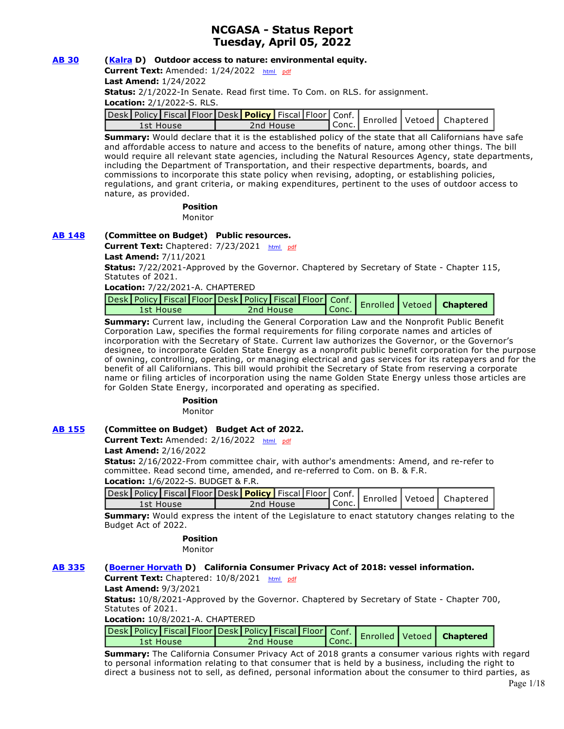## **NCGASA - Status Report Tuesday, April 05, 2022**

## **[AB 30](https://ctweb.capitoltrack.com/public/publishbillinfo.aspx?bi=Ahx7xVtQV9Lj%2F%2FmZ2igU4qFEOchoktZ0hR7551UsQ1P7nyx5eBulFwOd7TX0iZJf) [\(Kalra](https://a27.asmdc.org/) D) Outdoor access to nature: environmental equity.**

Current Text: Amended: 1/24/2022 [html](http://ct3k1.capitoltrack.com/Bills/21Bills%5Casm%5Cab_0001-0050%5Cab_30_97_A_bill.htm) [pdf](http://ct3k1.capitoltrack.com/Bills/21Bills%5Casm%5Cab_0001-0050%5Cab_30_97_A_bill.pdf)

**Last Amend:** 1/24/2022

**Status:** 2/1/2022-In Senate. Read first time. To Com. on RLS. for assignment.

**Location:** 2/1/2022-S. RLS.

|           |  |           |  |           |  | Jesk Policy Fiscal Floor Desk Policy   Fiscal Floor   Conf.   Enrolled   Vetoed   Chapterer |
|-----------|--|-----------|--|-----------|--|---------------------------------------------------------------------------------------------|
| 1st House |  | 2nd House |  | ¶ Conc. . |  |                                                                                             |

**Summary:** Would declare that it is the established policy of the state that all Californians have safe and affordable access to nature and access to the benefits of nature, among other things. The bill would require all relevant state agencies, including the Natural Resources Agency, state departments, including the Department of Transportation, and their respective departments, boards, and commissions to incorporate this state policy when revising, adopting, or establishing policies, regulations, and grant criteria, or making expenditures, pertinent to the uses of outdoor access to nature, as provided.

#### **Position**  Monitor

## **[AB 148](https://ctweb.capitoltrack.com/public/publishbillinfo.aspx?bi=k1DX4P5k8CnLjx3V2MIGYDgJ0aZTpmTbEtSlqkljW%2B%2FAVKE99qIC%2FN5F2Ma2PJjV) (Committee on Budget) Public resources.**

Current Text: Chaptered: 7/23/2021 [html](http://ct3k1.capitoltrack.com/Bills/21Bills%5Casm%5Cab_0101-0150%5Cab_148_94_C_bill.htm) [pdf](http://ct3k1.capitoltrack.com/Bills/21Bills%5Casm%5Cab_0101-0150%5Cab_148_94_C_bill.pdf) **Last Amend:** 7/11/2021

**Status:** 7/22/2021-Approved by the Governor. Chaptered by Secretary of State - Chapter 115, Statutes of 2021.

**Location:** 7/22/2021-A. CHAPTERED

|           |  |  |           |                                 |  | Desk Policy   Fiscal   Floor   Desk   Policy   Fiscal   Floor   Conf.   Enrolled   Vetoed   Chaptere |
|-----------|--|--|-----------|---------------------------------|--|------------------------------------------------------------------------------------------------------|
| 1st House |  |  | 2nd House | $\mathsf{T}$ Conc. $\mathsf{L}$ |  |                                                                                                      |

**Summary:** Current law, including the General Corporation Law and the Nonprofit Public Benefit Corporation Law, specifies the formal requirements for filing corporate names and articles of incorporation with the Secretary of State. Current law authorizes the Governor, or the Governor's designee, to incorporate Golden State Energy as a nonprofit public benefit corporation for the purpose of owning, controlling, operating, or managing electrical and gas services for its ratepayers and for the benefit of all Californians. This bill would prohibit the Secretary of State from reserving a corporate name or filing articles of incorporation using the name Golden State Energy unless those articles are for Golden State Energy, incorporated and operating as specified.

#### **Position**

Monitor

## **[AB 155](https://ctweb.capitoltrack.com/public/publishbillinfo.aspx?bi=DE80RQFjhGoNKRfDphI9yakvOpDRXP2FZu7NswNfjkfO20wF7DeD6KhZyejah4an) (Committee on Budget) Budget Act of 2022.**

Current Text: Amended: 2/16/2022 [html](http://ct3k1.capitoltrack.com/Bills/21Bills%5Casm%5Cab_0151-0200%5Cab_155_96_A_bill.htm) [pdf](http://ct3k1.capitoltrack.com/Bills/21Bills%5Casm%5Cab_0151-0200%5Cab_155_96_A_bill.pdf) **Last Amend:** 2/16/2022

**Status:** 2/16/2022-From committee chair, with author's amendments: Amend, and re-refer to committee. Read second time, amended, and re-referred to Com. on B. & F.R. **Location:** 1/6/2022-S. BUDGET & F.R.

| <b>LOCALIOII:</b> 1/0/2022 J. DODOLT & F.IN.<br>Jesk Policy Fiscal Floor Desk Policy Fiscal Floor Conf.   Enrolled Vetoed   Chaptered ' |  |  |  |           |  |  |       |  |  |  |  |
|-----------------------------------------------------------------------------------------------------------------------------------------|--|--|--|-----------|--|--|-------|--|--|--|--|
|                                                                                                                                         |  |  |  |           |  |  |       |  |  |  |  |
| 1st House                                                                                                                               |  |  |  | 2nd House |  |  | Conc. |  |  |  |  |

**Summary:** Would express the intent of the Legislature to enact statutory changes relating to the Budget Act of 2022.

## **Position**

Monitor

## **[AB 335](https://ctweb.capitoltrack.com/public/publishbillinfo.aspx?bi=hMJKXiqqpF8goyayb%2BsSoyy0x28qUZoL0nzTXxsf3nTpmK7S2LGFTcZvBYOY0kmr) [\(Boerner Horvath](https://a76.asmdc.org/) D) California Consumer Privacy Act of 2018: vessel information.**

**Current Text:** Chaptered: 10/8/2021 [html](http://ct3k1.capitoltrack.com/Bills/21Bills%5Casm%5Cab_0301-0350%5Cab_335_95_C_bill.htm) [pdf](http://ct3k1.capitoltrack.com/Bills/21Bills%5Casm%5Cab_0301-0350%5Cab_335_95_C_bill.pdf)

**Last Amend:** 9/3/2021

**Status:** 10/8/2021-Approved by the Governor. Chaptered by Secretary of State - Chapter 700, Statutes of 2021.

**Location:** 10/8/2021-A. CHAPTERED

| vesk Policy   Fiscal   Floor   Desk   Policy   Fiscal   Floor   Conf.   Enrolled   Vetoed   Chaptere |           |                  |  |  |
|------------------------------------------------------------------------------------------------------|-----------|------------------|--|--|
| 1st House                                                                                            | 2nd House | $\mathsf{Cone}.$ |  |  |

**Summary:** The California Consumer Privacy Act of 2018 grants a consumer various rights with regard to personal information relating to that consumer that is held by a business, including the right to direct a business not to sell, as defined, personal information about the consumer to third parties, as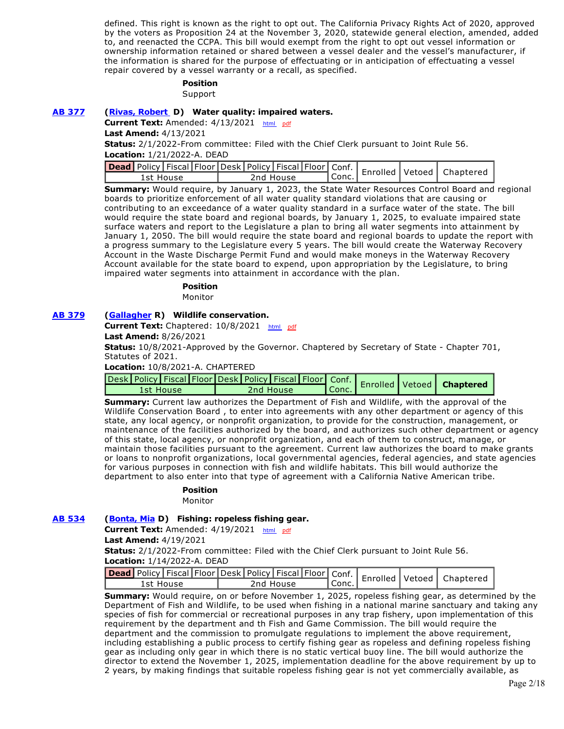defined. This right is known as the right to opt out. The California Privacy Rights Act of 2020, approved by the voters as Proposition 24 at the November 3, 2020, statewide general election, amended, added to, and reenacted the CCPA. This bill would exempt from the right to opt out vessel information or ownership information retained or shared between a vessel dealer and the vessel's manufacturer, if the information is shared for the purpose of effectuating or in anticipation of effectuating a vessel repair covered by a vessel warranty or a recall, as specified.

#### **Position**

Support

#### **[AB 377](https://ctweb.capitoltrack.com/public/publishbillinfo.aspx?bi=qPuHFJavC6sFPWAyIzoRQIda%2BaPlJAwcxA%2BfDRhGjnisujUtfNfsBoGTBjJ3O2oS) [\(Rivas, Robert](https://a30.asmdc.org/)  D) Water quality: impaired waters.**

**Current Text:** Amended: 4/13/2021 [html](http://ct3k1.capitoltrack.com/Bills/21Bills%5Casm%5Cab_0351-0400%5Cab_377_96_A_bill.htm)  [pdf](http://ct3k1.capitoltrack.com/Bills/21Bills%5Casm%5Cab_0351-0400%5Cab_377_96_A_bill.pdf)

**Last Amend:** 4/13/2021

**Status:** 2/1/2022-From committee: Filed with the Chief Clerk pursuant to Joint Rule 56.

**Location:** 1/21/2022-A. DEAD

| <b>ad</b> Policy   Fiscal   Floor   Desk   Policy   Fiscal   Floor   Conf.   Enrolled   Vetoed   Chaptere |           |         |  |  |
|-----------------------------------------------------------------------------------------------------------|-----------|---------|--|--|
| 1st House                                                                                                 | 2nd House | Conc. I |  |  |

**Summary:** Would require, by January 1, 2023, the State Water Resources Control Board and regional boards to prioritize enforcement of all water quality standard violations that are causing or contributing to an exceedance of a water quality standard in a surface water of the state. The bill would require the state board and regional boards, by January 1, 2025, to evaluate impaired state surface waters and report to the Legislature a plan to bring all water segments into attainment by January 1, 2050. The bill would require the state board and regional boards to update the report with a progress summary to the Legislature every 5 years. The bill would create the Waterway Recovery Account in the Waste Discharge Permit Fund and would make moneys in the Waterway Recovery Account available for the state board to expend, upon appropriation by the Legislature, to bring impaired water segments into attainment in accordance with the plan.

## **Position**

Monitor

#### **[AB 379](https://ctweb.capitoltrack.com/public/publishbillinfo.aspx?bi=JMKrujeNCwzodLa0pd75ivElp96fly8fvOK8o0s7gRplFqxwpQADMc1UfetNgave) [\(Gallagher](http://ad03.asmrc.org/) R) Wildlife conservation.**

Current Text: Chaptered: 10/8/2021 [html](http://ct3k1.capitoltrack.com/Bills/21Bills%5Casm%5Cab_0351-0400%5Cab_379_94_C_bill.htm) [pdf](http://ct3k1.capitoltrack.com/Bills/21Bills%5Casm%5Cab_0351-0400%5Cab_379_94_C_bill.pdf)

**Last Amend:** 8/26/2021

**Status:** 10/8/2021-Approved by the Governor. Chaptered by Secretary of State - Chapter 701, Statutes of 2021.

**Location:** 10/8/2021-A. CHAPTERED

| ~esk   Policy   Fiscal   Floor   Desk   Policy   Fiscal   Floor   Conf.   Enrolled   Vetoed   Chaptere |           |            |  |  |
|--------------------------------------------------------------------------------------------------------|-----------|------------|--|--|
| 1st House                                                                                              | 2nd House | $\ $ Conc. |  |  |

**Summary:** Current law authorizes the Department of Fish and Wildlife, with the approval of the Wildlife Conservation Board , to enter into agreements with any other department or agency of this state, any local agency, or nonprofit organization, to provide for the construction, management, or maintenance of the facilities authorized by the board, and authorizes such other department or agency of this state, local agency, or nonprofit organization, and each of them to construct, manage, or maintain those facilities pursuant to the agreement. Current law authorizes the board to make grants or loans to nonprofit organizations, local governmental agencies, federal agencies, and state agencies for various purposes in connection with fish and wildlife habitats. This bill would authorize the department to also enter into that type of agreement with a California Native American tribe.

#### **Position**

Monitor

#### **[AB 534](https://ctweb.capitoltrack.com/public/publishbillinfo.aspx?bi=lTsOWXyJziPZudY4zuCHFwDmBnCRi82cM1kHNZ31nezG4CessNM68rT2sMC1BI3x) [\(Bonta, Mia](https://a18.asmdc.org/) D) Fishing: ropeless fishing gear.**

**Current Text:** Amended: 4/19/2021 [html](http://ct3k1.capitoltrack.com/Bills/21Bills%5Casm%5Cab_0501-0550%5Cab_534_98_A_bill.htm)  [pdf](http://ct3k1.capitoltrack.com/Bills/21Bills%5Casm%5Cab_0501-0550%5Cab_534_98_A_bill.pdf)

**Last Amend:** 4/19/2021

**Status:** 2/1/2022-From committee: Filed with the Chief Clerk pursuant to Joint Rule 56. **Location:** 1/14/2022-A. DEAD

|           |  |  |           |         |  | Jead Policy   Fiscal   Floor   Desk   Policy   Fiscal   Floor   Conf.   Enrolled   Vetoed   Chaptere |
|-----------|--|--|-----------|---------|--|------------------------------------------------------------------------------------------------------|
| 1st House |  |  | 2nd House | l Conc. |  |                                                                                                      |

**Summary:** Would require, on or before November 1, 2025, ropeless fishing gear, as determined by the Department of Fish and Wildlife, to be used when fishing in a national marine sanctuary and taking any species of fish for commercial or recreational purposes in any trap fishery, upon implementation of this requirement by the department and th Fish and Game Commission. The bill would require the department and the commission to promulgate regulations to implement the above requirement, including establishing a public process to certify fishing gear as ropeless and defining ropeless fishing gear as including only gear in which there is no static vertical buoy line. The bill would authorize the director to extend the November 1, 2025, implementation deadline for the above requirement by up to 2 years, by making findings that suitable ropeless fishing gear is not yet commercially available, as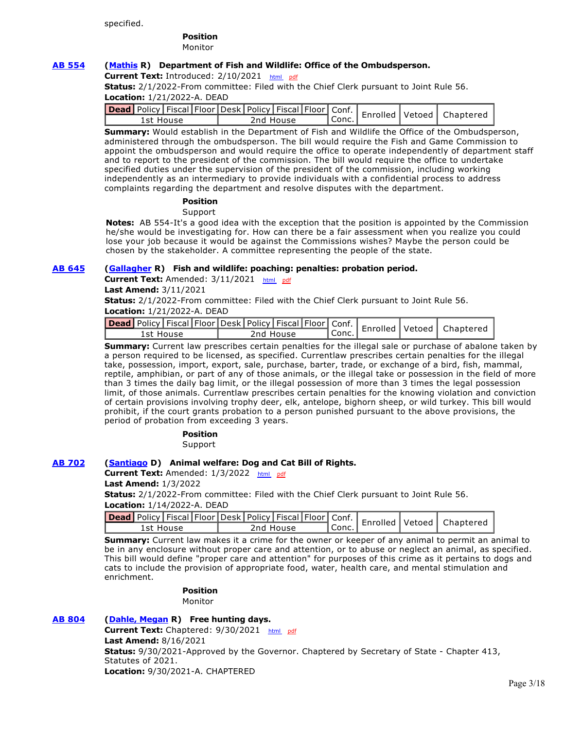specified.

#### **Position**  Monitor

## **[AB 554](https://ctweb.capitoltrack.com/public/publishbillinfo.aspx?bi=xnqRy1UjkNx5HculJ8izzTYafr1nB4%2BFSkbvr7dRq4S5KHSNnqWVrTSBgBNQoifw) [\(Mathis](http://ad26.asmrc.org/) R) Department of Fish and Wildlife: Office of the Ombudsperson.**

**Current Text:** Introduced: 2/10/2021 [html](http://ct3k1.capitoltrack.com/Bills/21Bills%5Casm%5Cab_0551-0600%5Cab_554_99_I_bill.htm) [pdf](http://ct3k1.capitoltrack.com/Bills/21Bills%5Casm%5Cab_0551-0600%5Cab_554_99_I_bill.pdf)

**Status:** 2/1/2022-From committee: Filed with the Chief Clerk pursuant to Joint Rule 56. **Location:** 1/21/2022-A. DEAD

| vead Policy Fiscal Floor Desk   Policy   Fiscal   Floor   Conf.   Enrolled   Vetoed   Chaptered |           |        |  |  |
|-------------------------------------------------------------------------------------------------|-----------|--------|--|--|
| 1st House                                                                                       | 2nd House | `Conc. |  |  |

**Summary:** Would establish in the Department of Fish and Wildlife the Office of the Ombudsperson, administered through the ombudsperson. The bill would require the Fish and Game Commission to appoint the ombudsperson and would require the office to operate independently of department staff and to report to the president of the commission. The bill would require the office to undertake specified duties under the supervision of the president of the commission, including working independently as an intermediary to provide individuals with a confidential process to address complaints regarding the department and resolve disputes with the department.

#### **Position**

**Support** 

**Notes:** AB 554-It's a good idea with the exception that the position is appointed by the Commission he/she would be investigating for. How can there be a fair assessment when you realize you could lose your job because it would be against the Commissions wishes? Maybe the person could be chosen by the stakeholder. A committee representing the people of the state.

## **[AB 645](https://ctweb.capitoltrack.com/public/publishbillinfo.aspx?bi=AOornhIoeJrif%2BNpqASS5R3ReSiFMFoZO1Jo6yW2bOv%2B0tmLYxIQyb0vahaKzdaA) [\(Gallagher](http://ad03.asmrc.org/) R) Fish and wildlife: poaching: penalties: probation period.**

Current Text: Amended: 3/11/2021 [html](http://ct3k1.capitoltrack.com/Bills/21Bills%5Casm%5Cab_0601-0650%5Cab_645_98_A_bill.htm) [pdf](http://ct3k1.capitoltrack.com/Bills/21Bills%5Casm%5Cab_0601-0650%5Cab_645_98_A_bill.pdf)

**Last Amend:** 3/11/2021

**Status:** 2/1/2022-From committee: Filed with the Chief Clerk pursuant to Joint Rule 56. **Location:** 1/21/2022-A. DEAD

| <b>Lead</b> Policy Fiscal Floor Desk   Policy   Fiscal   Floor   Conf.   Enrolled   Vetoed   Chaptere |           |  |           |  |         |  |  |
|-------------------------------------------------------------------------------------------------------|-----------|--|-----------|--|---------|--|--|
|                                                                                                       | 1st House |  | 2nd House |  | l Conc. |  |  |

**Summary:** Current law prescribes certain penalties for the illegal sale or purchase of abalone taken by a person required to be licensed, as specified. Currentlaw prescribes certain penalties for the illegal take, possession, import, export, sale, purchase, barter, trade, or exchange of a bird, fish, mammal, reptile, amphibian, or part of any of those animals, or the illegal take or possession in the field of more than 3 times the daily bag limit, or the illegal possession of more than 3 times the legal possession limit, of those animals. Currentlaw prescribes certain penalties for the knowing violation and conviction of certain provisions involving trophy deer, elk, antelope, bighorn sheep, or wild turkey. This bill would prohibit, if the court grants probation to a person punished pursuant to the above provisions, the period of probation from exceeding 3 years.

> **Position**  Support

## **[AB 702](https://ctweb.capitoltrack.com/public/publishbillinfo.aspx?bi=9m%2Fgy93Xpjv8QznZbZy%2BfBB8egkgqKj1GZc21sbSjNt1SBp0m8KidQUZXmVyUJFq) [\(Santiago](https://a53.asmdc.org/) D) Animal welfare: Dog and Cat Bill of Rights.**

**Current Text:** Amended: 1/3/2022 [html](http://ct3k1.capitoltrack.com/Bills/21Bills%5Casm%5Cab_0701-0750%5Cab_702_97_A_bill.htm) [pdf](http://ct3k1.capitoltrack.com/Bills/21Bills%5Casm%5Cab_0701-0750%5Cab_702_97_A_bill.pdf) **Last Amend:** 1/3/2022

**Status:** 2/1/2022-From committee: Filed with the Chief Clerk pursuant to Joint Rule 56. **Location:** 1/14/2022-A. DEAD

| <b>Dead</b> Policy   Fiscal   Floor   Desk   Policy   Fiscal   Floor   Conf. |           |       |          | Vetoed | Chaptered |
|------------------------------------------------------------------------------|-----------|-------|----------|--------|-----------|
| 1st House                                                                    | 2nd House | Conc. | Enrolled |        |           |

**Summary:** Current law makes it a crime for the owner or keeper of any animal to permit an animal to be in any enclosure without proper care and attention, or to abuse or neglect an animal, as specified. This bill would define "proper care and attention" for purposes of this crime as it pertains to dogs and cats to include the provision of appropriate food, water, health care, and mental stimulation and enrichment.

> **Position**  Monitor

## **[AB 804](https://ctweb.capitoltrack.com/public/publishbillinfo.aspx?bi=Y7jAGf1wTijK5lnzIMEQI8JJXc7gUut5%2Fm5m7pY%2FH5QvGJ8vLgyfR0n4HI6Es2SP) [\(Dahle, Megan](https://ad01.asmrc.org/) R) Free hunting days.**

Current Text: Chaptered: 9/30/2021 [html](http://ct3k1.capitoltrack.com/Bills/21Bills%5Casm%5Cab_0801-0850%5Cab_804_94_C_bill.htm) [pdf](http://ct3k1.capitoltrack.com/Bills/21Bills%5Casm%5Cab_0801-0850%5Cab_804_94_C_bill.pdf) **Last Amend:** 8/16/2021 **Status:** 9/30/2021-Approved by the Governor. Chaptered by Secretary of State - Chapter 413, Statutes of 2021. **Location:** 9/30/2021-A. CHAPTERED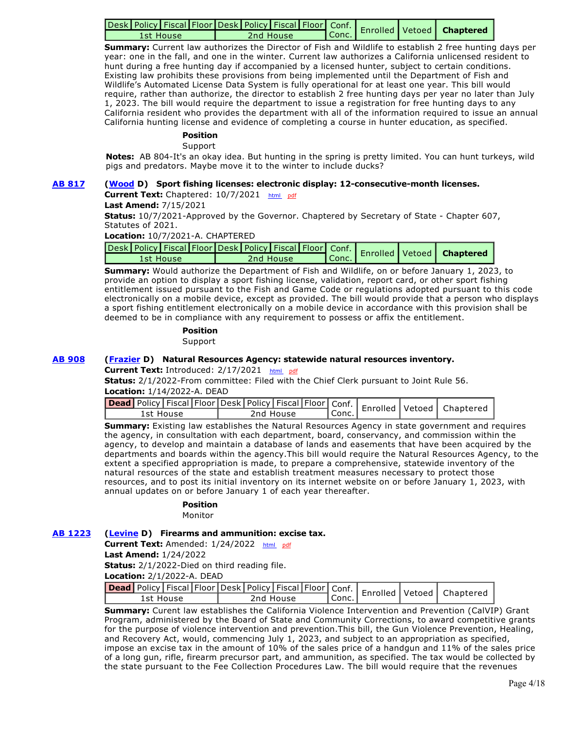|           |  |           |                    |  | Jesk Policy   Fiscal   Floor Desk   Policy   Fiscal   Floor   Conf.   Enrolled   Vetoed   Chaptere |
|-----------|--|-----------|--------------------|--|----------------------------------------------------------------------------------------------------|
| 1st House |  | 2nd House | $\mathbb{R}$ Conc. |  |                                                                                                    |

**Summary:** Current law authorizes the Director of Fish and Wildlife to establish 2 free hunting days per year: one in the fall, and one in the winter. Current law authorizes a California unlicensed resident to hunt during a free hunting day if accompanied by a licensed hunter, subject to certain conditions. Existing law prohibits these provisions from being implemented until the Department of Fish and Wildlife's Automated License Data System is fully operational for at least one year. This bill would require, rather than authorize, the director to establish 2 free hunting days per year no later than July 1, 2023. The bill would require the department to issue a registration for free hunting days to any California resident who provides the department with all of the information required to issue an annual California hunting license and evidence of completing a course in hunter education, as specified.

## **Position**

Support

**Notes:** AB 804-It's an okay idea. But hunting in the spring is pretty limited. You can hunt turkeys, wild pigs and predators. Maybe move it to the winter to include ducks?

#### **[AB 817](https://ctweb.capitoltrack.com/public/publishbillinfo.aspx?bi=9GXK0HtCtkh6R%2FvKwo57Rz3e6MHUPedm%2FiF8iFgYtANyK1d582%2BKWjrrrZHb%2BT9l) [\(Wood](https://a02.asmdc.org/) D) Sport fishing licenses: electronic display: 12-consecutive-month licenses.**

#### **Current Text:** Chaptered: 10/7/2021 [html](http://ct3k1.capitoltrack.com/Bills/21Bills%5Casm%5Cab_0801-0850%5Cab_817_94_C_bill.htm)  [pdf](http://ct3k1.capitoltrack.com/Bills/21Bills%5Casm%5Cab_0801-0850%5Cab_817_94_C_bill.pdf)

**Last Amend:** 7/15/2021

**Status:** 10/7/2021-Approved by the Governor. Chaptered by Secretary of State - Chapter 607, Statutes of 2021.

**Location:** 10/7/2021-A. CHAPTERED

| Jesk Policy   Fiscal   Floor Desk   Policy   Fiscal   Floor   Conf.   Enrolled   Vetoed   Chapterer |           |                    |  |  |  |
|-----------------------------------------------------------------------------------------------------|-----------|--------------------|--|--|--|
| 1st House                                                                                           | 2nd House | $\mathsf{T}$ Conc. |  |  |  |

**Summary:** Would authorize the Department of Fish and Wildlife, on or before January 1, 2023, to provide an option to display a sport fishing license, validation, report card, or other sport fishing entitlement issued pursuant to the Fish and Game Code or regulations adopted pursuant to this code electronically on a mobile device, except as provided. The bill would provide that a person who displays a sport fishing entitlement electronically on a mobile device in accordance with this provision shall be deemed to be in compliance with any requirement to possess or affix the entitlement.

## **Position**

Support

#### **[AB 908](https://ctweb.capitoltrack.com/public/publishbillinfo.aspx?bi=VguSYBovwH6ENrYIXQGZpLLQVusJJLeymPR4Rov7mIilyEKZUFUOe4WDwVee7l%2Bo) [\(Frazier](https://a11.asmdc.org/) D) Natural Resources Agency: statewide natural resources inventory.**

Current Text: Introduced: 2/17/2021 [html](http://ct3k1.capitoltrack.com/Bills/21Bills%5Casm%5Cab_0901-0950%5Cab_908_99_I_bill.htm)  [pdf](http://ct3k1.capitoltrack.com/Bills/21Bills%5Casm%5Cab_0901-0950%5Cab_908_99_I_bill.pdf)

**Status:** 2/1/2022-From committee: Filed with the Chief Clerk pursuant to Joint Rule 56. **Location:** 1/14/2022-A. DEAD

|           |  |           |       |  | <b>ead</b> Policy Fiscal Floor Desk   Policy   Fiscal   Floor   Conf.   Enrolled   Vetoed   Chaptered |
|-----------|--|-----------|-------|--|-------------------------------------------------------------------------------------------------------|
| 1st House |  | 2nd House | Conc. |  |                                                                                                       |

**Summary:** Existing law establishes the Natural Resources Agency in state government and requires the agency, in consultation with each department, board, conservancy, and commission within the agency, to develop and maintain a database of lands and easements that have been acquired by the departments and boards within the agency.This bill would require the Natural Resources Agency, to the extent a specified appropriation is made, to prepare a comprehensive, statewide inventory of the natural resources of the state and establish treatment measures necessary to protect those resources, and to post its initial inventory on its internet website on or before January 1, 2023, with annual updates on or before January 1 of each year thereafter.

#### **Position**

Monitor

#### **[AB 1223](https://ctweb.capitoltrack.com/public/publishbillinfo.aspx?bi=HMufbHApznPfJXwFv71I9M2K0HMItR2cCFh1%2FDItv08z83jgvHRsR8NyvgSON%2Buh) [\(Levine](https://a10.asmdc.org/) D) Firearms and ammunition: excise tax.**

**Current Text:** Amended: 1/24/2022 [html](http://ct3k1.capitoltrack.com/Bills/21Bills%5Casm%5Cab_1201-1250%5Cab_1223_93_A_bill.htm)  [pdf](http://ct3k1.capitoltrack.com/Bills/21Bills%5Casm%5Cab_1201-1250%5Cab_1223_93_A_bill.pdf)

**Last Amend:** 1/24/2022

**Status:** 2/1/2022-Died on third reading file.

**Location:** 2/1/2022-A. DEAD

|           |  |  |           |         |  | <b>Lead</b> Policy Fiscal Floor Desk Policy Fiscal Floor Conf.   Enrolled Vetoed   Chapterer |
|-----------|--|--|-----------|---------|--|----------------------------------------------------------------------------------------------|
| 1st House |  |  | 2nd House | l Conc. |  |                                                                                              |

**Summary:** Curent law establishes the California Violence Intervention and Prevention (CalVIP) Grant Program, administered by the Board of State and Community Corrections, to award competitive grants for the purpose of violence intervention and prevention.This bill, the Gun Violence Prevention, Healing, and Recovery Act, would, commencing July 1, 2023, and subject to an appropriation as specified, impose an excise tax in the amount of 10% of the sales price of a handgun and 11% of the sales price of a long gun, rifle, firearm precursor part, and ammunition, as specified. The tax would be collected by the state pursuant to the Fee Collection Procedures Law. The bill would require that the revenues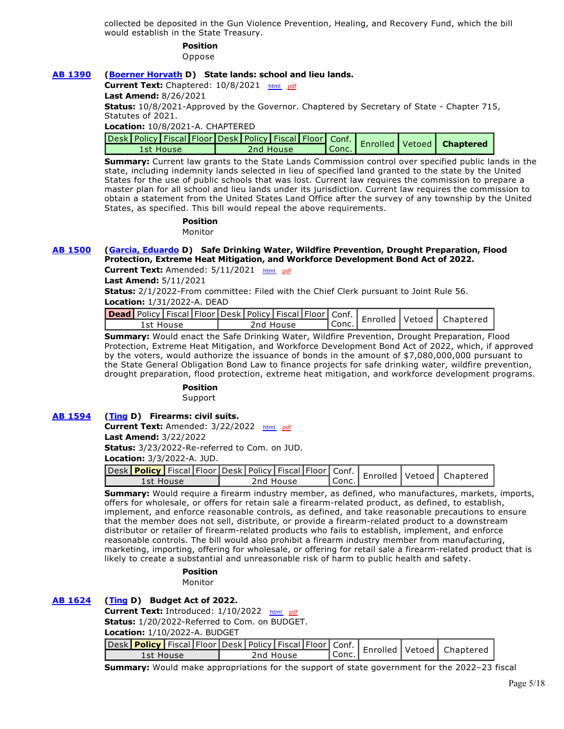collected be deposited in the Gun Violence Prevention, Healing, and Recovery Fund, which the bill would establish in the State Treasury.

# **Position**

Oppose

## **[AB 1390](https://ctweb.capitoltrack.com/public/publishbillinfo.aspx?bi=3U%2BtyBOOMNEAs%2FQ771ck1uCA%2BZ5LwK%2BiDNWUoqqz8%2F3m2g8iZJtwCZ3Ft5tiAZbB) [\(Boerner Horvath](https://a76.asmdc.org/) D) State lands: school and lieu lands.**

Current Text: Chaptered: 10/8/2021 [html](http://ct3k1.capitoltrack.com/Bills/21Bills%5Casm%5Cab_1351-1400%5Cab_1390_94_C_bill.htm) [pdf](http://ct3k1.capitoltrack.com/Bills/21Bills%5Casm%5Cab_1351-1400%5Cab_1390_94_C_bill.pdf)

**Last Amend:** 8/26/2021

**Status:** 10/8/2021-Approved by the Governor. Chaptered by Secretary of State - Chapter 715, Statutes of 2021.

#### **Location:** 10/8/2021-A. CHAPTERED

|           |  |           |               |  | Jesk Policy   Fiscal   Floor   Desk   Policy   Fiscal   Floor   Conf.   Enrolled   Vetoed   Chaptere |
|-----------|--|-----------|---------------|--|------------------------------------------------------------------------------------------------------|
| 1st House |  | 2nd House | $ $ Conc. $ $ |  |                                                                                                      |

**Summary:** Current law grants to the State Lands Commission control over specified public lands in the state, including indemnity lands selected in lieu of specified land granted to the state by the United States for the use of public schools that was lost. Current law requires the commission to prepare a master plan for all school and lieu lands under its jurisdiction. Current law requires the commission to obtain a statement from the United States Land Office after the survey of any township by the United States, as specified. This bill would repeal the above requirements.

> **Position**  Monitor

## **[AB 1500](https://ctweb.capitoltrack.com/public/publishbillinfo.aspx?bi=Q%2B0%2FTujrY%2F2UGWOn6vunP%2BjoTYTCRmpAJ7pQVkz0xETSp%2FNu4kYVQYYVP%2FjaDcW4) [\(Garcia, Eduardo](https://a56.asmdc.org/) D) Safe Drinking Water, Wildfire Prevention, Drought Preparation, Flood Protection, Extreme Heat Mitigation, and Workforce Development Bond Act of 2022.**

**Current Text:** Amended: 5/11/2021 [html](http://ct3k1.capitoltrack.com/Bills/21Bills%5Casm%5Cab_1451-1500%5Cab_1500_97_A_bill.htm)  [pdf](http://ct3k1.capitoltrack.com/Bills/21Bills%5Casm%5Cab_1451-1500%5Cab_1500_97_A_bill.pdf)

**Last Amend:** 5/11/2021

**Status:** 2/1/2022-From committee: Filed with the Chief Clerk pursuant to Joint Rule 56.

**Location:** 1/31/2022-A. DEAD

| <b>cad</b> Policy   Fiscal   Floor   Desk   Policy   Fiscal   Floor   Conf.   Enrolled   Vetoed   Chapterer<br>' Conc.<br>2nd House<br>1st House |  |  |  |  |  |  |
|--------------------------------------------------------------------------------------------------------------------------------------------------|--|--|--|--|--|--|
|                                                                                                                                                  |  |  |  |  |  |  |

**Summary:** Would enact the Safe Drinking Water, Wildfire Prevention, Drought Preparation, Flood Protection, Extreme Heat Mitigation, and Workforce Development Bond Act of 2022, which, if approved by the voters, would authorize the issuance of bonds in the amount of \$7,080,000,000 pursuant to the State General Obligation Bond Law to finance projects for safe drinking water, wildfire prevention, drought preparation, flood protection, extreme heat mitigation, and workforce development programs.

#### **Position**

Support

## **[AB 1594](https://ctweb.capitoltrack.com/public/publishbillinfo.aspx?bi=4uLt%2FAEGjiYYz5%2FJi8SlOh7uxJT9D5almPYVOd0JtnL40%2BJJb8plS5e5%2FTay%2FPZJ) [\(Ting](https://a19.asmdc.org/) D) Firearms: civil suits.**

Current Text: Amended: 3/22/2022 [html](http://ct3k1.capitoltrack.com/Bills/21Bills%5Casm%5Cab_1551-1600%5Cab_1594_98_A_bill.htm) [pdf](http://ct3k1.capitoltrack.com/Bills/21Bills%5Casm%5Cab_1551-1600%5Cab_1594_98_A_bill.pdf)

**Last Amend:** 3/22/2022

**Status:** 3/23/2022-Re-referred to Com. on JUD.

**Location:** 3/3/2022-A. JUD.

| vesk Policy Fiscal Floor Desk   Policy   Fiscal   Floor   Conf.   Enrolled   Vetoed   Chaptered |           |         |  |  |
|-------------------------------------------------------------------------------------------------|-----------|---------|--|--|
| 1st House                                                                                       | 2nd House | ' Conc. |  |  |

**Summary:** Would require a firearm industry member, as defined, who manufactures, markets, imports, offers for wholesale, or offers for retain sale a firearm-related product, as defined, to establish, implement, and enforce reasonable controls, as defined, and take reasonable precautions to ensure that the member does not sell, distribute, or provide a firearm-related product to a downstream distributor or retailer of firearm-related products who fails to establish, implement, and enforce reasonable controls. The bill would also prohibit a firearm industry member from manufacturing, marketing, importing, offering for wholesale, or offering for retail sale a firearm-related product that is likely to create a substantial and unreasonable risk of harm to public health and safety.

> **Position**  Monitor

## **[AB 1624](https://ctweb.capitoltrack.com/public/publishbillinfo.aspx?bi=xuDLkoCHlE6CLf1suRTNpJIr0hTpN5wYcuBxixhO73ZccvHOBp19XcHRJT1lYKKx) [\(Ting](https://a19.asmdc.org/) D) Budget Act of 2022.**

**Current Text:** Introduced: 1/10/2022 [html](http://ct3k1.capitoltrack.com/Bills/21Bills%5Casm%5Cab_1601-1650%5Cab_1624_99_I_bill.htm) [pdf](http://ct3k1.capitoltrack.com/Bills/21Bills%5Casm%5Cab_1601-1650%5Cab_1624_99_I_bill.pdf)

**Status:** 1/20/2022-Referred to Com. on BUDGET.

**Location:** 1/10/2022-A. BUDGET

| . Jesk Policy Fiscal Floor Desk   Policy   Fiscal   Floor   Conf.   Enrolled   Vetoed   Chapterer |           |         |  |  |
|---------------------------------------------------------------------------------------------------|-----------|---------|--|--|
| 1st House                                                                                         | 2nd House | ' Conc. |  |  |

**Summary:** Would make appropriations for the support of state government for the 2022–23 fiscal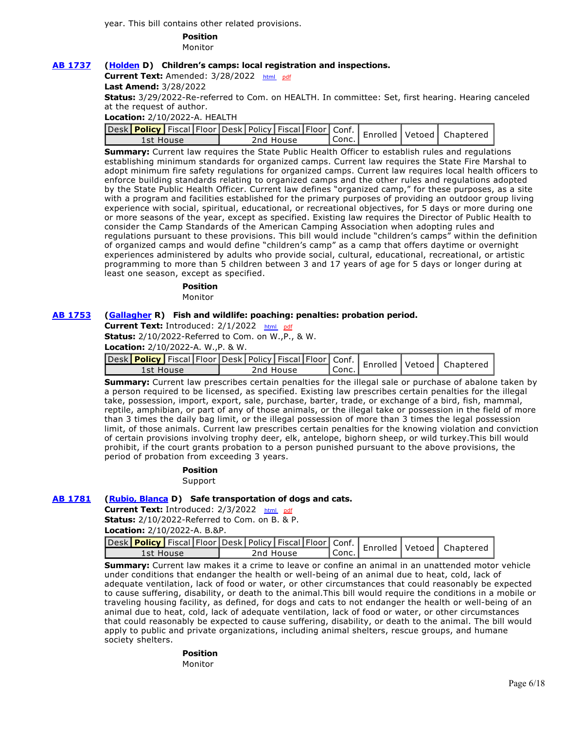year. This bill contains other related provisions.

## **Position**

Monitor

### **[AB 1737](https://ctweb.capitoltrack.com/public/publishbillinfo.aspx?bi=qkmPCQdCLRGHS3MOIOZAef9AWeFrkNTRWf%2Bjc93AXcur0WnyzX08MsYQEZIKc0TG) [\(Holden](https://a41.asmdc.org/) D) Children's camps: local registration and inspections.**

Current Text: Amended: 3/28/2022 [html](http://ct3k1.capitoltrack.com/Bills/21Bills%5Casm%5Cab_1701-1750%5Cab_1737_98_A_bill.htm) [pdf](http://ct3k1.capitoltrack.com/Bills/21Bills%5Casm%5Cab_1701-1750%5Cab_1737_98_A_bill.pdf)

**Last Amend:** 3/28/2022

**Status:** 3/29/2022-Re-referred to Com. on HEALTH. In committee: Set, first hearing. Hearing canceled at the request of author.

**Location:** 2/10/2022-A. HEALTH

| Jesk Policy Fiscal Floor Desk   Policy   Fiscal   Floor   Conf.   Enrolled   Vetoed   Chaptere |           |  |           |           |  |  |
|------------------------------------------------------------------------------------------------|-----------|--|-----------|-----------|--|--|
|                                                                                                | 1st House |  | 2nd House | l Conc. I |  |  |

**Summary:** Current law requires the State Public Health Officer to establish rules and regulations establishing minimum standards for organized camps. Current law requires the State Fire Marshal to adopt minimum fire safety regulations for organized camps. Current law requires local health officers to enforce building standards relating to organized camps and the other rules and regulations adopted by the State Public Health Officer. Current law defines "organized camp," for these purposes, as a site with a program and facilities established for the primary purposes of providing an outdoor group living experience with social, spiritual, educational, or recreational objectives, for 5 days or more during one or more seasons of the year, except as specified. Existing law requires the Director of Public Health to consider the Camp Standards of the American Camping Association when adopting rules and regulations pursuant to these provisions. This bill would include "children's camps" within the definition of organized camps and would define "children's camp" as a camp that offers daytime or overnight experiences administered by adults who provide social, cultural, educational, recreational, or artistic programming to more than 5 children between 3 and 17 years of age for 5 days or longer during at least one season, except as specified.

# **Position**

Monitor

#### **[AB 1753](https://ctweb.capitoltrack.com/public/publishbillinfo.aspx?bi=Dyu5FeULD5bc2Z92J%2F0c1H3jfkJ6smnpEFgVCsdns%2BTPm4pJnfagiphBNFE7Z3wb) [\(Gallagher](http://ad03.asmrc.org/) R) Fish and wildlife: poaching: penalties: probation period.**

Current Text: Introduced: 2/1/2022 [html](http://ct3k1.capitoltrack.com/Bills/21Bills%5Casm%5Cab_1751-1800%5Cab_1753_99_I_bill.htm) [pdf](http://ct3k1.capitoltrack.com/Bills/21Bills%5Casm%5Cab_1751-1800%5Cab_1753_99_I_bill.pdf)

**Status:** 2/10/2022-Referred to Com. on W.,P., & W.

**Location:** 2/10/2022-A. W.,P. & W.

| . Jesk Policy Fiscal Floor Desk   Policy   Fiscal   Floor   Conf.   Enrolled   Vetoed   Chapterer |  |  |           |           |  |  |
|---------------------------------------------------------------------------------------------------|--|--|-----------|-----------|--|--|
| 1st House                                                                                         |  |  | 2nd House | ' Conc. . |  |  |

**Summary:** Current law prescribes certain penalties for the illegal sale or purchase of abalone taken by a person required to be licensed, as specified. Existing law prescribes certain penalties for the illegal take, possession, import, export, sale, purchase, barter, trade, or exchange of a bird, fish, mammal, reptile, amphibian, or part of any of those animals, or the illegal take or possession in the field of more than 3 times the daily bag limit, or the illegal possession of more than 3 times the legal possession limit, of those animals. Current law prescribes certain penalties for the knowing violation and conviction of certain provisions involving trophy deer, elk, antelope, bighorn sheep, or wild turkey.This bill would prohibit, if the court grants probation to a person punished pursuant to the above provisions, the period of probation from exceeding 3 years.

# **Position**

#### Support

#### **[AB 1781](https://ctweb.capitoltrack.com/public/publishbillinfo.aspx?bi=yari5cbrOG%2Ff48N7JZiON0zJBa62qv%2Fb4ilikw%2FzVYKO5pKy5BSvGjgWvgMQRjBR) [\(Rubio, Blanca](https://a48.asmdc.org/) D) Safe transportation of dogs and cats.**

**Current Text: Introduced: 2/3/2022** [html](http://ct3k1.capitoltrack.com/Bills/21Bills%5Casm%5Cab_1751-1800%5Cab_1781_99_I_bill.htm) [pdf](http://ct3k1.capitoltrack.com/Bills/21Bills%5Casm%5Cab_1751-1800%5Cab_1781_99_I_bill.pdf)

**Status:** 2/10/2022-Referred to Com. on B. & P. **Location:** 2/10/2022-A. B.&P.

|           |  |  |           |       |  | Jesk Policy Fiscal Floor Desk Policy Fiscal Floor Conf.   Enrolled   Vetoed   Chaptered ' |
|-----------|--|--|-----------|-------|--|-------------------------------------------------------------------------------------------|
| lst House |  |  | 2nd House | Conc. |  |                                                                                           |

**Summary:** Current law makes it a crime to leave or confine an animal in an unattended motor vehicle under conditions that endanger the health or well-being of an animal due to heat, cold, lack of adequate ventilation, lack of food or water, or other circumstances that could reasonably be expected to cause suffering, disability, or death to the animal.This bill would require the conditions in a mobile or traveling housing facility, as defined, for dogs and cats to not endanger the health or well-being of an animal due to heat, cold, lack of adequate ventilation, lack of food or water, or other circumstances that could reasonably be expected to cause suffering, disability, or death to the animal. The bill would apply to public and private organizations, including animal shelters, rescue groups, and humane society shelters.

#### **Position**  Monitor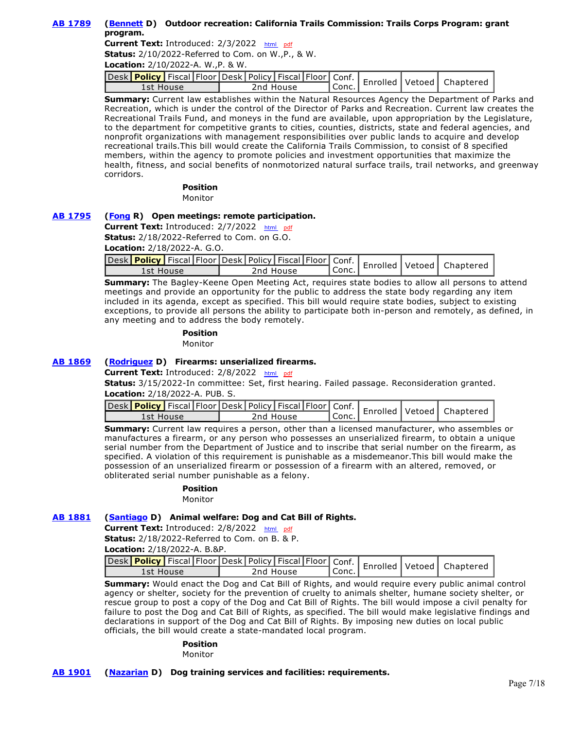## **[AB 1789](https://ctweb.capitoltrack.com/public/publishbillinfo.aspx?bi=yari5cbrOG%2Ff48N7JZiON4Z9COgq06HaVM3Yj8VPMc6ji9FeprL8%2FTed6Q24nFSI) [\(Bennett](https://a37.asmdc.org/) D) Outdoor recreation: California Trails Commission: Trails Corps Program: grant program.**

**Current Text:** Introduced: 2/3/2022 [html](http://ct3k1.capitoltrack.com/Bills/21Bills%5Casm%5Cab_1751-1800%5Cab_1789_99_I_bill.htm)  [pdf](http://ct3k1.capitoltrack.com/Bills/21Bills%5Casm%5Cab_1751-1800%5Cab_1789_99_I_bill.pdf)

**Status:** 2/10/2022-Referred to Com. on W.,P., & W.

**Location:** 2/10/2022-A. W.,P. & W.

| vesk Policy Fiscal Floor Desk   Policy   Fiscal   Floor   Conf.   Enrolled   Vetoed   Chaptered |           |           |  |  |
|-------------------------------------------------------------------------------------------------|-----------|-----------|--|--|
| 1st House                                                                                       | 2nd House | l Conc. I |  |  |

**Summary:** Current law establishes within the Natural Resources Agency the Department of Parks and Recreation, which is under the control of the Director of Parks and Recreation. Current law creates the Recreational Trails Fund, and moneys in the fund are available, upon appropriation by the Legislature, to the department for competitive grants to cities, counties, districts, state and federal agencies, and nonprofit organizations with management responsibilities over public lands to acquire and develop recreational trails.This bill would create the California Trails Commission, to consist of 8 specified members, within the agency to promote policies and investment opportunities that maximize the health, fitness, and social benefits of nonmotorized natural surface trails, trail networks, and greenway corridors.

**Position** 

Monitor

### **[AB 1795](https://ctweb.capitoltrack.com/public/publishbillinfo.aspx?bi=zd3RZEXbqJLxSLUbtUpQg40DML5G2nlyvWPjggzw0KxX2AvAIEFBxPupiaopcedo) [\(Fong](https://ad34.asmrc.org/) R) Open meetings: remote participation.**

**Current Text:** Introduced: 2/7/2022 [html](http://ct3k1.capitoltrack.com/Bills/21Bills%5Casm%5Cab_1751-1800%5Cab_1795_99_I_bill.htm) [pdf](http://ct3k1.capitoltrack.com/Bills/21Bills%5Casm%5Cab_1751-1800%5Cab_1795_99_I_bill.pdf) **Status:** 2/18/2022-Referred to Com. on G.O. **Location:** 2/18/2022-A. G.O.

|  | <b>Location:</b> 2/18/2022-A. G.O.                     |  |  |
|--|--------------------------------------------------------|--|--|
|  | المستحار والمستحل والمستحل والمستحل والمستحدث والمستحل |  |  |

| vesk Policy   Fiscal   Floor   Desk   Policy   Fiscal   Floor   Conf.   Enrolled   Vetoed   Chaptered |           |                    |  |  |
|-------------------------------------------------------------------------------------------------------|-----------|--------------------|--|--|
| 1st House                                                                                             | 2nd House | <sup>I</sup> Conc. |  |  |

**Summary:** The Bagley-Keene Open Meeting Act, requires state bodies to allow all persons to attend meetings and provide an opportunity for the public to address the state body regarding any item included in its agenda, except as specified. This bill would require state bodies, subject to existing exceptions, to provide all persons the ability to participate both in-person and remotely, as defined, in any meeting and to address the body remotely.

#### **Position**  Monitor

## **[AB 1869](https://ctweb.capitoltrack.com/public/publishbillinfo.aspx?bi=wUUNr0hWAm3YM0jy8yeQfN0aOnFzbACHUBKssBmASd56IE%2BAVd0yYP5HzTcxJ8Cu) [\(Rodriguez](https://a52.asmdc.org/) D) Firearms: unserialized firearms.**

**Current Text:** Introduced: 2/8/2022 [html](http://ct3k1.capitoltrack.com/Bills/21Bills%5Casm%5Cab_1851-1900%5Cab_1869_99_I_bill.htm) [pdf](http://ct3k1.capitoltrack.com/Bills/21Bills%5Casm%5Cab_1851-1900%5Cab_1869_99_I_bill.pdf)

**Status:** 3/15/2022-In committee: Set, first hearing. Failed passage. Reconsideration granted. **Location:** 2/18/2022-A. PUB. S.

| vesk Policy Fiscal Floor Desk   Policy   Fiscal   Floor   Conf.   Enrolled   Vetoed   Chaptered |           |           |  |  |
|-------------------------------------------------------------------------------------------------|-----------|-----------|--|--|
| 1st House                                                                                       | 2nd House | ' Conc. . |  |  |

**Summary:** Current law requires a person, other than a licensed manufacturer, who assembles or manufactures a firearm, or any person who possesses an unserialized firearm, to obtain a unique serial number from the Department of Justice and to inscribe that serial number on the firearm, as specified. A violation of this requirement is punishable as a misdemeanor.This bill would make the possession of an unserialized firearm or possession of a firearm with an altered, removed, or obliterated serial number punishable as a felony.

#### **Position**

Monitor

#### **[AB 1881](https://ctweb.capitoltrack.com/public/publishbillinfo.aspx?bi=dAUbcVIP5aA0S5KismdWFADlDNXBt80VhHiqLCnFEYDNJEQYWRQ6f80de6eiCd6Y) [\(Santiago](https://a53.asmdc.org/) D) Animal welfare: Dog and Cat Bill of Rights.**

**Current Text:** Introduced: 2/8/2022 [html](http://ct3k1.capitoltrack.com/Bills/21Bills%5Casm%5Cab_1851-1900%5Cab_1881_99_I_bill.htm)  [pdf](http://ct3k1.capitoltrack.com/Bills/21Bills%5Casm%5Cab_1851-1900%5Cab_1881_99_I_bill.pdf)

**Status:** 2/18/2022-Referred to Com. on B. & P. **Location:** 2/18/2022-A. B.&P.

|           |  |  |           |         |  | Jesk Policy Fiscal Floor Desk Policy Fiscal Floor Conf.   Enrolled   Vetoed   Chapterer |
|-----------|--|--|-----------|---------|--|-----------------------------------------------------------------------------------------|
| 1st House |  |  | 2nd House | l Conc. |  |                                                                                         |

**Summary:** Would enact the Dog and Cat Bill of Rights, and would require every public animal control agency or shelter, society for the prevention of cruelty to animals shelter, humane society shelter, or rescue group to post a copy of the Dog and Cat Bill of Rights. The bill would impose a civil penalty for failure to post the Dog and Cat Bill of Rights, as specified. The bill would make legislative findings and declarations in support of the Dog and Cat Bill of Rights. By imposing new duties on local public officials, the bill would create a state-mandated local program.

#### **Position**

Monitor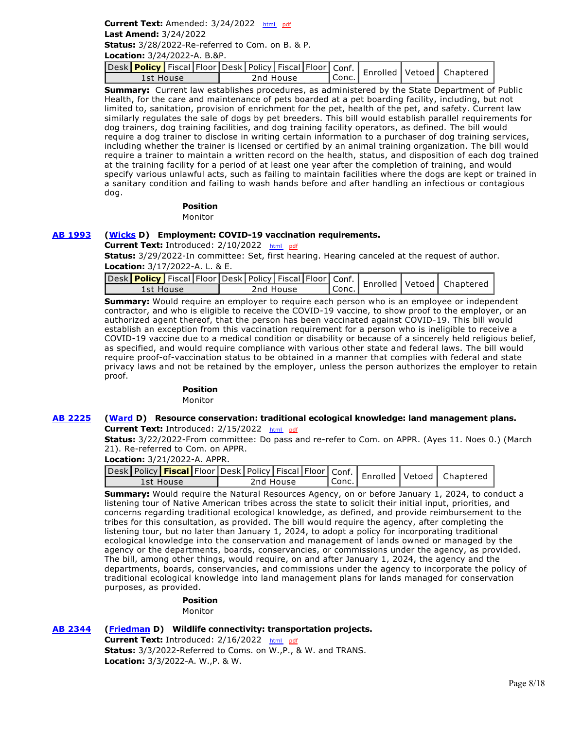## **Current Text:** Amended: 3/24/2022 [html](http://ct3k1.capitoltrack.com/Bills/21Bills%5Casm%5Cab_1901-1950%5Cab_1901_98_A_bill.htm) [pdf](http://ct3k1.capitoltrack.com/Bills/21Bills%5Casm%5Cab_1901-1950%5Cab_1901_98_A_bill.pdf) **Last Amend:** 3/24/2022

**Status:** 3/28/2022-Re-referred to Com. on B. & P.

**Location:** 3/24/2022-A. B.&P.

| vesk Policy   Fiscal   Floor   Desk   Policy   Fiscal   Floor   Conf.   Enrolled   Vetoed   Chaptered |           |                    |  |  |
|-------------------------------------------------------------------------------------------------------|-----------|--------------------|--|--|
| 1st House                                                                                             | 2nd House | <sup>I</sup> Conc. |  |  |

**Summary:**  Current law establishes procedures, as administered by the State Department of Public Health, for the care and maintenance of pets boarded at a pet boarding facility, including, but not limited to, sanitation, provision of enrichment for the pet, health of the pet, and safety. Current law similarly regulates the sale of dogs by pet breeders. This bill would establish parallel requirements for dog trainers, dog training facilities, and dog training facility operators, as defined. The bill would require a dog trainer to disclose in writing certain information to a purchaser of dog training services, including whether the trainer is licensed or certified by an animal training organization. The bill would require a trainer to maintain a written record on the health, status, and disposition of each dog trained at the training facility for a period of at least one year after the completion of training, and would specify various unlawful acts, such as failing to maintain facilities where the dogs are kept or trained in a sanitary condition and failing to wash hands before and after handling an infectious or contagious dog.

#### **Position**  Monitor

## **[AB 1993](https://ctweb.capitoltrack.com/public/publishbillinfo.aspx?bi=WibrqfEwRs2M9AziTZ6bjArA7cmGK%2FlGQ%2FMB9xD90pS69HRbLVN5IBYy0hECXVgm) [\(Wicks](https://a15.asmdc.org/) D) Employment: COVID-19 vaccination requirements.**

Current Text: Introduced: 2/10/2022 [html](http://ct3k1.capitoltrack.com/Bills/21Bills%5Casm%5Cab_1951-2000%5Cab_1993_99_I_bill.htm) [pdf](http://ct3k1.capitoltrack.com/Bills/21Bills%5Casm%5Cab_1951-2000%5Cab_1993_99_I_bill.pdf)

**Status:** 3/29/2022-In committee: Set, first hearing. Hearing canceled at the request of author. **Location:** 3/17/2022-A. L. & E.

| Desk Policy   Fiscal   Floor   Desk   Policy   Fiscal   Floor   Conf.   Enrolled   Vetoed   Chaptered |           |       |  |  |
|-------------------------------------------------------------------------------------------------------|-----------|-------|--|--|
| rst House                                                                                             | 2nd House | Conc. |  |  |

**Summary:** Would require an employer to require each person who is an employee or independent contractor, and who is eligible to receive the COVID-19 vaccine, to show proof to the employer, or an authorized agent thereof, that the person has been vaccinated against COVID-19. This bill would establish an exception from this vaccination requirement for a person who is ineligible to receive a COVID-19 vaccine due to a medical condition or disability or because of a sincerely held religious belief, as specified, and would require compliance with various other state and federal laws. The bill would require proof-of-vaccination status to be obtained in a manner that complies with federal and state privacy laws and not be retained by the employer, unless the person authorizes the employer to retain proof.

## **Position**

Monitor

### **[AB 2225](https://ctweb.capitoltrack.com/public/publishbillinfo.aspx?bi=697V82Xq6QNtXsuC%2FyL0Tx%2BwhRcaSjkR54HjPTdjvIUznoH9BiDjT6yoK2BG6Qj1) [\(Ward](https://a78.asmdc.org/) D) Resource conservation: traditional ecological knowledge: land management plans. Current Text:** Introduced: 2/15/2022 [html](http://ct3k1.capitoltrack.com/Bills/21Bills%5Casm%5Cab_2201-2250%5Cab_2225_99_I_bill.htm) [pdf](http://ct3k1.capitoltrack.com/Bills/21Bills%5Casm%5Cab_2201-2250%5Cab_2225_99_I_bill.pdf)

**Status:** 3/22/2022-From committee: Do pass and re-refer to Com. on APPR. (Ayes 11. Noes 0.) (March 21). Re-referred to Com. on APPR.

## **Location:** 3/21/2022-A. APPR.

| Jesk Policy <b>Fiscal</b> Floor Desk   Policy   Fiscal   Floor   Conf.   Enrolled   Vetoed   Chaptered |           |       |  |  |
|--------------------------------------------------------------------------------------------------------|-----------|-------|--|--|
| 1st House                                                                                              | 2nd House | Conc. |  |  |

**Summary:** Would require the Natural Resources Agency, on or before January 1, 2024, to conduct a listening tour of Native American tribes across the state to solicit their initial input, priorities, and concerns regarding traditional ecological knowledge, as defined, and provide reimbursement to the tribes for this consultation, as provided. The bill would require the agency, after completing the listening tour, but no later than January 1, 2024, to adopt a policy for incorporating traditional ecological knowledge into the conservation and management of lands owned or managed by the agency or the departments, boards, conservancies, or commissions under the agency, as provided. The bill, among other things, would require, on and after January 1, 2024, the agency and the departments, boards, conservancies, and commissions under the agency to incorporate the policy of traditional ecological knowledge into land management plans for lands managed for conservation purposes, as provided.

## **Position**

Monitor

## **[AB 2344](https://ctweb.capitoltrack.com/public/publishbillinfo.aspx?bi=4SpuFwep9YTZixZbFamGchqKIzUVvMntCVrnN3tho5leMP6wTSEEpDSZZWzlHrEn) [\(Friedman](https://a43.asmdc.org/) D) Wildlife connectivity: transportation projects.**

Current Text: Introduced: 2/16/2022 [html](http://ct3k1.capitoltrack.com/Bills/21Bills%5Casm%5Cab_2301-2350%5Cab_2344_99_I_bill.htm) [pdf](http://ct3k1.capitoltrack.com/Bills/21Bills%5Casm%5Cab_2301-2350%5Cab_2344_99_I_bill.pdf) **Status:** 3/3/2022-Referred to Coms. on W.,P., & W. and TRANS. **Location:** 3/3/2022-A. W.,P. & W.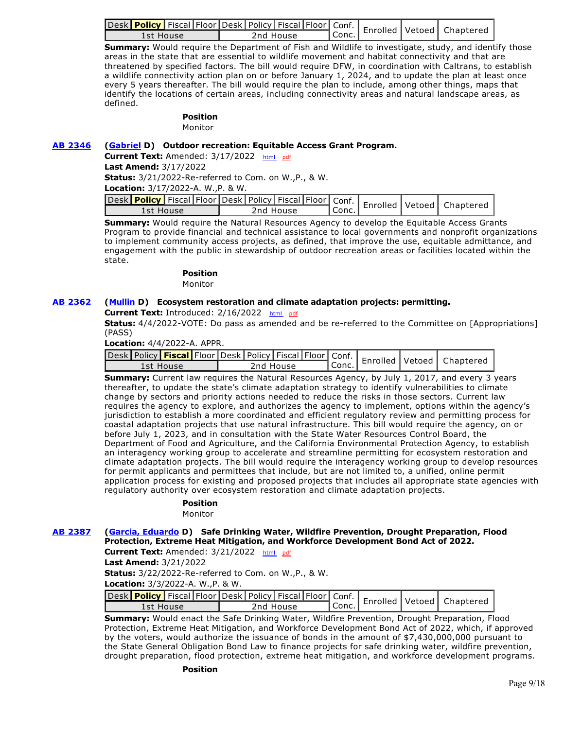| <b>Lesk</b> Policy Fiscal Floor Desk Policy Fiscal Floor Conf.   Enrolled Vetoed   Chapter |           |         |  |  |
|--------------------------------------------------------------------------------------------|-----------|---------|--|--|
| 1st House                                                                                  | 2nd House | l Conc. |  |  |

**Summary:** Would require the Department of Fish and Wildlife to investigate, study, and identify those areas in the state that are essential to wildlife movement and habitat connectivity and that are threatened by specified factors. The bill would require DFW, in coordination with Caltrans, to establish a wildlife connectivity action plan on or before January 1, 2024, and to update the plan at least once every 5 years thereafter. The bill would require the plan to include, among other things, maps that identify the locations of certain areas, including connectivity areas and natural landscape areas, as defined.

## **Position**

Monitor

### **[AB 2346](https://ctweb.capitoltrack.com/public/publishbillinfo.aspx?bi=4SpuFwep9YTZixZbFamGchUXCJmaHW540l%2FichabU5QNQSNt6%2BoMFOx48%2FHkGcdP) [\(Gabriel](https://a45.asmdc.org/) D) Outdoor recreation: Equitable Access Grant Program.**

**Current Text:** Amended: 3/17/2022 [html](http://ct3k1.capitoltrack.com/Bills/21Bills%5Casm%5Cab_2301-2350%5Cab_2346_98_A_bill.htm) [pdf](http://ct3k1.capitoltrack.com/Bills/21Bills%5Casm%5Cab_2301-2350%5Cab_2346_98_A_bill.pdf)

**Last Amend:** 3/17/2022

**Status:** 3/21/2022-Re-referred to Com. on W.,P., & W.

**Location:** 3/17/2022-A. W.,P. & W.

| Jesk Policy   Fiscal Floor Desk   Policy   Fiscal   Floor   Conf.   Enrolled   Vetoed   Chaptere |           |         |  |  |
|--------------------------------------------------------------------------------------------------|-----------|---------|--|--|
| 1st House                                                                                        | 2nd House | l Conc. |  |  |

**Summary:** Would require the Natural Resources Agency to develop the Equitable Access Grants Program to provide financial and technical assistance to local governments and nonprofit organizations to implement community access projects, as defined, that improve the use, equitable admittance, and engagement with the public in stewardship of outdoor recreation areas or facilities located within the state.

#### **Position**

Monitor

## **[AB 2362](https://ctweb.capitoltrack.com/public/publishbillinfo.aspx?bi=MBqDEhsOF1wb5FgAzgplRHJ7RenMbMHvgOC%2Fdb3x2uBrex53cKLdszTuDaeOyLxt) [\(Mullin](https://a22.asmdc.org/) D) Ecosystem restoration and climate adaptation projects: permitting.**

**Current Text:** Introduced: 2/16/2022 [html](http://ct3k1.capitoltrack.com/Bills/21Bills%5Casm%5Cab_2351-2400%5Cab_2362_99_I_bill.htm)  [pdf](http://ct3k1.capitoltrack.com/Bills/21Bills%5Casm%5Cab_2351-2400%5Cab_2362_99_I_bill.pdf)

**Status:** 4/4/2022-VOTE: Do pass as amended and be re-referred to the Committee on [Appropriations] (PASS)

**Location:** 4/4/2022-A. APPR.

| 1st House | 2nd House | Conc. |  |  |
|-----------|-----------|-------|--|--|

**Summary:** Current law requires the Natural Resources Agency, by July 1, 2017, and every 3 years thereafter, to update the state's climate adaptation strategy to identify vulnerabilities to climate change by sectors and priority actions needed to reduce the risks in those sectors. Current law requires the agency to explore, and authorizes the agency to implement, options within the agency's jurisdiction to establish a more coordinated and efficient regulatory review and permitting process for coastal adaptation projects that use natural infrastructure. This bill would require the agency, on or before July 1, 2023, and in consultation with the State Water Resources Control Board, the Department of Food and Agriculture, and the California Environmental Protection Agency, to establish an interagency working group to accelerate and streamline permitting for ecosystem restoration and climate adaptation projects. The bill would require the interagency working group to develop resources for permit applicants and permittees that include, but are not limited to, a unified, online permit application process for existing and proposed projects that includes all appropriate state agencies with regulatory authority over ecosystem restoration and climate adaptation projects.

## **Position**

Monitor

### **[AB 2387](https://ctweb.capitoltrack.com/public/publishbillinfo.aspx?bi=4vgwO4m4rBj1SRQybA5AdI3rRPppLCNaoS7BfDfLwO5H%2FKwCu1sMM636oCwKfw%2Bt) [\(Garcia, Eduardo](https://a56.asmdc.org/) D) Safe Drinking Water, Wildfire Prevention, Drought Preparation, Flood Protection, Extreme Heat Mitigation, and Workforce Development Bond Act of 2022.**

Current Text: Amended: 3/21/2022 [html](http://ct3k1.capitoltrack.com/Bills/21Bills%5Casm%5Cab_2351-2400%5Cab_2387_98_A_bill.htm) [pdf](http://ct3k1.capitoltrack.com/Bills/21Bills%5Casm%5Cab_2351-2400%5Cab_2387_98_A_bill.pdf)

**Last Amend:** 3/21/2022

**Status:** 3/22/2022-Re-referred to Com. on W.,P., & W.

**Location:** 3/3/2022-A. W.,P. & W.

|           |  |           |        |  | Jesk Policy Fiscal Floor Desk   Policy   Fiscal   Floor   Conf.   Enrolled   Vetoed   Chaptered |
|-----------|--|-----------|--------|--|-------------------------------------------------------------------------------------------------|
| Lst House |  | 2nd House | `Conc. |  |                                                                                                 |

**Summary:** Would enact the Safe Drinking Water, Wildfire Prevention, Drought Preparation, Flood Protection, Extreme Heat Mitigation, and Workforce Development Bond Act of 2022, which, if approved by the voters, would authorize the issuance of bonds in the amount of \$7,430,000,000 pursuant to the State General Obligation Bond Law to finance projects for safe drinking water, wildfire prevention, drought preparation, flood protection, extreme heat mitigation, and workforce development programs.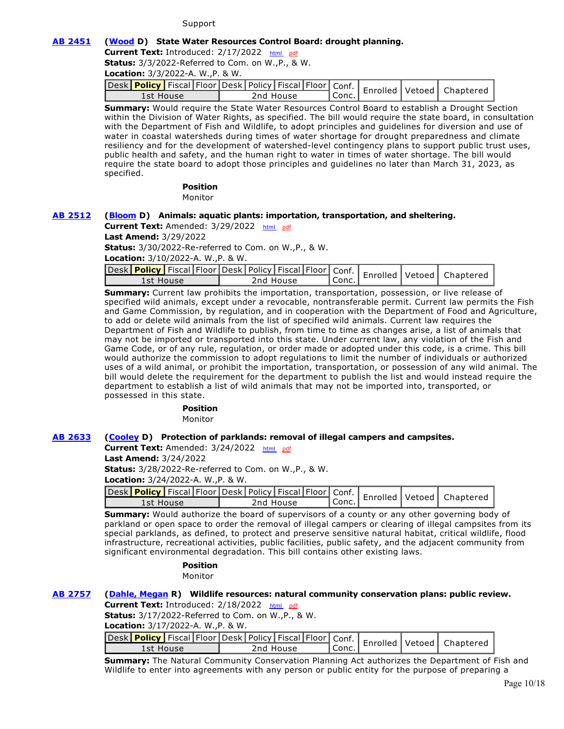#### Support

#### **[AB 2451](https://ctweb.capitoltrack.com/public/publishbillinfo.aspx?bi=ndj055pZ%2FePuySv6eE9BpE%2FlqCaJYHwdERW9dn01%2FVfJEHF9F4hd0Z%2Fp11QHligD) [\(Wood](https://a02.asmdc.org/) D) State Water Resources Control Board: drought planning.**

Current Text: Introduced: 2/17/2022 [html](http://ct3k1.capitoltrack.com/Bills/21Bills%5Casm%5Cab_2451-2500%5Cab_2451_99_I_bill.htm)  [pdf](http://ct3k1.capitoltrack.com/Bills/21Bills%5Casm%5Cab_2451-2500%5Cab_2451_99_I_bill.pdf)

**Status:** 3/3/2022-Referred to Com. on W.,P., & W.

**Location:** 3/3/2022-A. W.,P. & W.

|           |  |           |                   |  | Jesk Policy   Fiscal Floor Desk Policy   Fiscal   Floor   Conf.   Enrolled   Vetoed   Chapterer |
|-----------|--|-----------|-------------------|--|-------------------------------------------------------------------------------------------------|
| 1st House |  | 2nd House | $\mathsf{Conc}$ . |  |                                                                                                 |

**Summary:** Would require the State Water Resources Control Board to establish a Drought Section within the Division of Water Rights, as specified. The bill would require the state board, in consultation with the Department of Fish and Wildlife, to adopt principles and guidelines for diversion and use of water in coastal watersheds during times of water shortage for drought preparedness and climate resiliency and for the development of watershed-level contingency plans to support public trust uses, public health and safety, and the human right to water in times of water shortage. The bill would require the state board to adopt those principles and guidelines no later than March 31, 2023, as specified.

**Position** 

Monitor

#### **[AB 2512](https://ctweb.capitoltrack.com/public/publishbillinfo.aspx?bi=kCR7Tpul0N4hFslv%2BiYLmMeVCq7X7bgVOfFo97AAgcnXZ%2BUB%2Bm3bU0sSx4Tr1Bav) [\(Bloom](https://a50.asmdc.org/) D) Animals: aquatic plants: importation, transportation, and sheltering.**

**Current Text:** Amended: 3/29/2022 [html](http://ct3k1.capitoltrack.com/Bills/21Bills%5Casm%5Cab_2501-2550%5Cab_2512_98_A_bill.htm)  [pdf](http://ct3k1.capitoltrack.com/Bills/21Bills%5Casm%5Cab_2501-2550%5Cab_2512_98_A_bill.pdf) **Last Amend:** 3/29/2022 **Status:** 3/30/2022-Re-referred to Com. on W.,P., & W. **Location:** 3/10/2022-A. W.,P. & W.

| 1st House | 2nd House | Conc. |  |  |
|-----------|-----------|-------|--|--|

**Summary:** Current law prohibits the importation, transportation, possession, or live release of specified wild animals, except under a revocable, nontransferable permit. Current law permits the Fish and Game Commission, by regulation, and in cooperation with the Department of Food and Agriculture, to add or delete wild animals from the list of specified wild animals. Current law requires the Department of Fish and Wildlife to publish, from time to time as changes arise, a list of animals that may not be imported or transported into this state. Under current law, any violation of the Fish and Game Code, or of any rule, regulation, or order made or adopted under this code, is a crime. This bill would authorize the commission to adopt regulations to limit the number of individuals or authorized uses of a wild animal, or prohibit the importation, transportation, or possession of any wild animal. The bill would delete the requirement for the department to publish the list and would instead require the department to establish a list of wild animals that may not be imported into, transported, or possessed in this state.

#### **Position**

Monitor

#### **[AB 2633](https://ctweb.capitoltrack.com/public/publishbillinfo.aspx?bi=iTqLeKY7QFiTLYMt%2BmzmCnZIY9wKkOmThonwoOUXCyfC9MX9JVn64Qy1SeThN5oQ) [\(Cooley](https://a08.asmdc.org/) D) Protection of parklands: removal of illegal campers and campsites.**

**Current Text:** Amended: 3/24/2022 [html](http://ct3k1.capitoltrack.com/Bills/21Bills%5Casm%5Cab_2601-2650%5Cab_2633_98_A_bill.htm)  [pdf](http://ct3k1.capitoltrack.com/Bills/21Bills%5Casm%5Cab_2601-2650%5Cab_2633_98_A_bill.pdf)

**Last Amend:** 3/24/2022

**Status:** 3/28/2022-Re-referred to Com. on W.,P., & W.

**Location:** 3/24/2022-A. W.,P. & W.

|           |  |           |  |         |  | Jesk Policy   Fiscal   Floor Desk   Policy   Fiscal   Floor   Conf.   Enrolled   Vetoed   Chapterer |
|-----------|--|-----------|--|---------|--|-----------------------------------------------------------------------------------------------------|
| 1st House |  | 2nd House |  | ' Conc. |  |                                                                                                     |
|           |  |           |  |         |  |                                                                                                     |

**Summary:** Would authorize the board of supervisors of a county or any other governing body of parkland or open space to order the removal of illegal campers or clearing of illegal campsites from its special parklands, as defined, to protect and preserve sensitive natural habitat, critical wildlife, flood infrastructure, recreational activities, public facilities, public safety, and the adjacent community from significant environmental degradation. This bill contains other existing laws.

#### **Position**

Monitor

## **[AB 2757](https://ctweb.capitoltrack.com/public/publishbillinfo.aspx?bi=obaSn6e7zDSJv6%2BMHua4mt1MANN9SpoARrbWdXTH67MXppZX1lEG68cS7UsPGTXU) [\(Dahle, Megan](https://ad01.asmrc.org/) R) Wildlife resources: natural community conservation plans: public review.**

**Current Text:** Introduced: 2/18/2022 [html](http://ct3k1.capitoltrack.com/Bills/21Bills%5Casm%5Cab_2751-2800%5Cab_2757_99_I_bill.htm)  [pdf](http://ct3k1.capitoltrack.com/Bills/21Bills%5Casm%5Cab_2751-2800%5Cab_2757_99_I_bill.pdf)

**Status:** 3/17/2022-Referred to Com. on W.,P., & W.

**Location:** 3/17/2022-A. W.,P. & W.

| 1st House | 2nd House | `Conc. |  |  |
|-----------|-----------|--------|--|--|

**Summary:** The Natural Community Conservation Planning Act authorizes the Department of Fish and Wildlife to enter into agreements with any person or public entity for the purpose of preparing a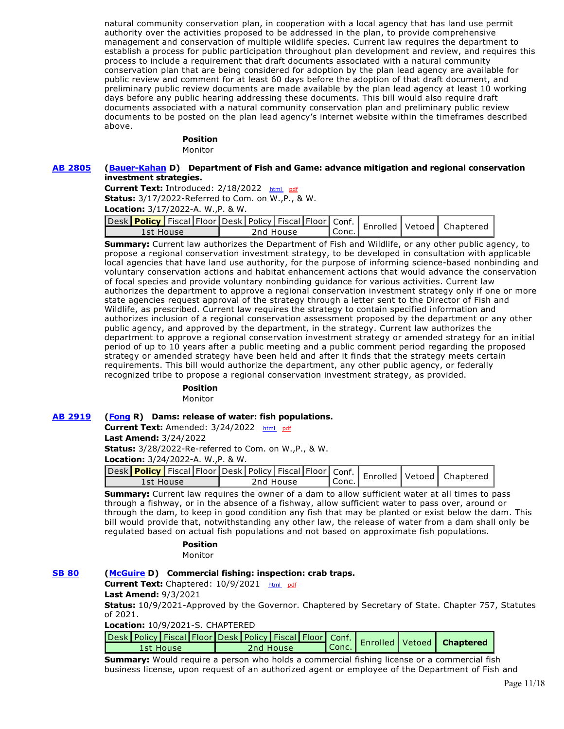natural community conservation plan, in cooperation with a local agency that has land use permit authority over the activities proposed to be addressed in the plan, to provide comprehensive management and conservation of multiple wildlife species. Current law requires the department to establish a process for public participation throughout plan development and review, and requires this process to include a requirement that draft documents associated with a natural community conservation plan that are being considered for adoption by the plan lead agency are available for public review and comment for at least 60 days before the adoption of that draft document, and preliminary public review documents are made available by the plan lead agency at least 10 working days before any public hearing addressing these documents. This bill would also require draft documents associated with a natural community conservation plan and preliminary public review documents to be posted on the plan lead agency's internet website within the timeframes described above.

## **Position**

Monitor

#### **[AB 2805](https://ctweb.capitoltrack.com/public/publishbillinfo.aspx?bi=gBd30rMEV1ufqpymqTQ%2BfNQ0R9u4CnBAeuhohZDOYSCiaK2CTpXrlgYcDkKc2452) [\(Bauer-Kahan](https://a16.asmdc.org/) D) Department of Fish and Game: advance mitigation and regional conservation investment strategies.**

Current Text: Introduced: 2/18/2022 [html](http://ct3k1.capitoltrack.com/Bills/21Bills%5Casm%5Cab_2801-2850%5Cab_2805_99_I_bill.htm) [pdf](http://ct3k1.capitoltrack.com/Bills/21Bills%5Casm%5Cab_2801-2850%5Cab_2805_99_I_bill.pdf) **Status:** 3/17/2022-Referred to Com. on W.,P., & W.

**Location:** 3/17/2022-A. W.,P. & W.

|           |  |           |  |           |  | Jesk Policy Fiscal Floor Desk Policy Fiscal Floor Conf.   Enrolled Vetoed   Chaptere |
|-----------|--|-----------|--|-----------|--|--------------------------------------------------------------------------------------|
| 1st House |  | 2nd House |  | ' Conc. . |  |                                                                                      |

**Summary:** Current law authorizes the Department of Fish and Wildlife, or any other public agency, to propose a regional conservation investment strategy, to be developed in consultation with applicable local agencies that have land use authority, for the purpose of informing science-based nonbinding and voluntary conservation actions and habitat enhancement actions that would advance the conservation of focal species and provide voluntary nonbinding guidance for various activities. Current law authorizes the department to approve a regional conservation investment strategy only if one or more state agencies request approval of the strategy through a letter sent to the Director of Fish and Wildlife, as prescribed. Current law requires the strategy to contain specified information and authorizes inclusion of a regional conservation assessment proposed by the department or any other public agency, and approved by the department, in the strategy. Current law authorizes the department to approve a regional conservation investment strategy or amended strategy for an initial period of up to 10 years after a public meeting and a public comment period regarding the proposed strategy or amended strategy have been held and after it finds that the strategy meets certain requirements. This bill would authorize the department, any other public agency, or federally recognized tribe to propose a regional conservation investment strategy, as provided.

#### **Position**

Monitor

#### **[AB 2919](https://ctweb.capitoltrack.com/public/publishbillinfo.aspx?bi=5EY4rVa709FyGP1isxMNi6xl9SfjJAV9LKrjhGoXFph8mIalnFDPuNAxcBtKqQL3) [\(Fong](https://ad34.asmrc.org/) R) Dams: release of water: fish populations.**

**Current Text:** Amended: 3/24/2022 [html](http://ct3k1.capitoltrack.com/Bills/21Bills%5Casm%5Cab_2901-2950%5Cab_2919_98_A_bill.htm)  [pdf](http://ct3k1.capitoltrack.com/Bills/21Bills%5Casm%5Cab_2901-2950%5Cab_2919_98_A_bill.pdf)

**Last Amend:** 3/24/2022

**Status:** 3/28/2022-Re-referred to Com. on W.,P., & W.

**Location:** 3/24/2022-A. W.,P. & W.

| vesk Policy Fiscal Floor Desk   Policy   Fiscal   Floor   Conf.   Enrolled   Vetoed   Chaptered ) |           |                    |  |  |
|---------------------------------------------------------------------------------------------------|-----------|--------------------|--|--|
| 1st House                                                                                         | 2nd House | <sup>'</sup> Conc. |  |  |

**Summary:** Current law requires the owner of a dam to allow sufficient water at all times to pass through a fishway, or in the absence of a fishway, allow sufficient water to pass over, around or through the dam, to keep in good condition any fish that may be planted or exist below the dam. This bill would provide that, notwithstanding any other law, the release of water from a dam shall only be regulated based on actual fish populations and not based on approximate fish populations.

## **Position**

Monitor

## **[SB 80](https://ctweb.capitoltrack.com/public/publishbillinfo.aspx?bi=WDGcd0u5TKSMIJd2zYnlFF1uLShhVCd77%2FmKYng0wUF1uFjaSW9Up%2BkY5zM7hj5P) [\(McGuire](http://sd02.senate.ca.gov/) D) Commercial fishing: inspection: crab traps.**

**Current Text:** Chaptered: 10/9/2021 [html](http://ct3k1.capitoltrack.com/Bills/21Bills%5Csen%5Csb_0051-0100%5Csb_80_91_C_bill.htm)  [pdf](http://ct3k1.capitoltrack.com/Bills/21Bills%5Csen%5Csb_0051-0100%5Csb_80_91_C_bill.pdf)

#### **Last Amend:** 9/3/2021

**Status:** 10/9/2021-Approved by the Governor. Chaptered by Secretary of State. Chapter 757, Statutes of 2021.

**Location:** 10/9/2021-S. CHAPTERED

| <b>Lesk Policy Fiscal Floor Desk Policy Fiscal Floor Conf.</b> Enrolled Vetoed <b>Chaptere</b><br>2nd House<br>1st House | $\mathsf{I}$ Conc. |  |  |
|--------------------------------------------------------------------------------------------------------------------------|--------------------|--|--|

**Summary:** Would require a person who holds a commercial fishing license or a commercial fish business license, upon request of an authorized agent or employee of the Department of Fish and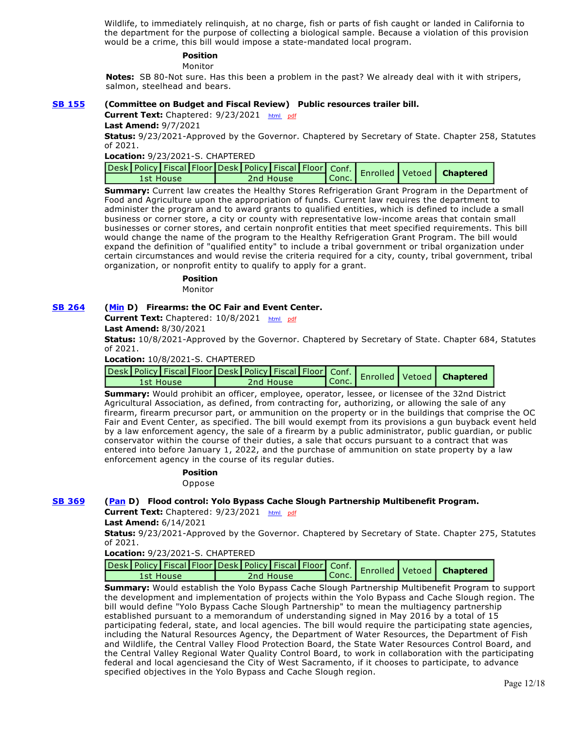Wildlife, to immediately relinquish, at no charge, fish or parts of fish caught or landed in California to the department for the purpose of collecting a biological sample. Because a violation of this provision would be a crime, this bill would impose a state-mandated local program.

## **Position**

#### Monitor

**Notes:** SB 80-Not sure. Has this been a problem in the past? We already deal with it with stripers, salmon, steelhead and bears.

#### **[SB 155](https://ctweb.capitoltrack.com/public/publishbillinfo.aspx?bi=TQNA6gkUHd6Gvq4n%2BrUdNP4hCnsGvtWYze83pKYk2cAdCqe1DkpOPrrICEIL0dXY) (Committee on Budget and Fiscal Review) Public resources trailer bill.**

**Current Text:** Chaptered: 9/23/2021 [html](http://ct3k1.capitoltrack.com/Bills/21Bills%5Csen%5Csb_0151-0200%5Csb_155_96_C_bill.htm) [pdf](http://ct3k1.capitoltrack.com/Bills/21Bills%5Csen%5Csb_0151-0200%5Csb_155_96_C_bill.pdf)

**Last Amend:** 9/7/2021

**Status:** 9/23/2021-Approved by the Governor. Chaptered by Secretary of State. Chapter 258, Statutes of 2021.

**Location:** 9/23/2021-S. CHAPTERED

|  |           |  |           |                  |  | ~sk   Policy   Fiscal   Floor   Desk   Policy   Fiscal   Floor   Conf.   Enrolled   Vetoed   Chaptere |  |
|--|-----------|--|-----------|------------------|--|-------------------------------------------------------------------------------------------------------|--|
|  | 1st House |  | 2nd House | $\mathsf{Conc.}$ |  |                                                                                                       |  |

**Summary:** Current law creates the Healthy Stores Refrigeration Grant Program in the Department of Food and Agriculture upon the appropriation of funds. Current law requires the department to administer the program and to award grants to qualified entities, which is defined to include a small business or corner store, a city or county with representative low-income areas that contain small businesses or corner stores, and certain nonprofit entities that meet specified requirements. This bill would change the name of the program to the Healthy Refrigeration Grant Program. The bill would expand the definition of "qualified entity" to include a tribal government or tribal organization under certain circumstances and would revise the criteria required for a city, county, tribal government, tribal organization, or nonprofit entity to qualify to apply for a grant.

#### **Position**

Monitor

#### **[SB 264](https://ctweb.capitoltrack.com/public/publishbillinfo.aspx?bi=%2FMiTtWXXDWQpTtNw1QLIna9%2BXWw9LtOzJG2X61r2j7bFP0H%2B%2B4rwxswSY2oi%2FkzA) [\(Min](https://sd37.senate.ca.gov/) D) Firearms: the OC Fair and Event Center.**

Current Text: Chaptered: 10/8/2021 [html](http://ct3k1.capitoltrack.com/Bills/21Bills%5Csen%5Csb_0251-0300%5Csb_264_93_C_bill.htm) [pdf](http://ct3k1.capitoltrack.com/Bills/21Bills%5Csen%5Csb_0251-0300%5Csb_264_93_C_bill.pdf) **Last Amend:** 8/30/2021

**Status:** 10/8/2021-Approved by the Governor. Chaptered by Secretary of State. Chapter 684, Statutes of 2021.

**Location:** 10/8/2021-S. CHAPTERED

| Jesk Policy Fiscal Floor Desk Policy Fiscal Floor Conf. Enrolled Vetoed   Chaptere |           |           |  |  |
|------------------------------------------------------------------------------------|-----------|-----------|--|--|
| 1st House                                                                          | 2nd House | $'$ Conc. |  |  |

**Summary:** Would prohibit an officer, employee, operator, lessee, or licensee of the 32nd District Agricultural Association, as defined, from contracting for, authorizing, or allowing the sale of any firearm, firearm precursor part, or ammunition on the property or in the buildings that comprise the OC Fair and Event Center, as specified. The bill would exempt from its provisions a gun buyback event held by a law enforcement agency, the sale of a firearm by a public administrator, public guardian, or public conservator within the course of their duties, a sale that occurs pursuant to a contract that was entered into before January 1, 2022, and the purchase of ammunition on state property by a law enforcement agency in the course of its regular duties.

#### **Position**  Oppose

## **[SB 369](https://ctweb.capitoltrack.com/public/publishbillinfo.aspx?bi=Oq1Ik%2BiNQ1S8E9fR6b7tI8hcubBC%2BTT9e3NW04PaR8l1d7NDesKqXMuIfKwtXoOV) [\(Pan](http://sd06.senate.ca.gov/) D) Flood control: Yolo Bypass Cache Slough Partnership Multibenefit Program.**

**Current Text:** Chaptered: 9/23/2021 [html](http://ct3k1.capitoltrack.com/Bills/21Bills%5Csen%5Csb_0351-0400%5Csb_369_95_C_bill.htm) [pdf](http://ct3k1.capitoltrack.com/Bills/21Bills%5Csen%5Csb_0351-0400%5Csb_369_95_C_bill.pdf)

**Last Amend:** 6/14/2021

**Status:** 9/23/2021-Approved by the Governor. Chaptered by Secretary of State. Chapter 275, Statutes of 2021.

#### **Location:** 9/23/2021-S. CHAPTERED

| - Gaptere ( Policy   Fiscal   Floor   Desk   Policy   Fiscal   Floor   Conf.   Enrolled   Vetoed   Chaptere المعامل |           |                 |  |  |
|---------------------------------------------------------------------------------------------------------------------|-----------|-----------------|--|--|
| 1st House                                                                                                           | 2nd House | $\mathsf{Vert}$ |  |  |

**Summary:** Would establish the Yolo Bypass Cache Slough Partnership Multibenefit Program to support the development and implementation of projects within the Yolo Bypass and Cache Slough region. The bill would define "Yolo Bypass Cache Slough Partnership" to mean the multiagency partnership established pursuant to a memorandum of understanding signed in May 2016 by a total of 15 participating federal, state, and local agencies. The bill would require the participating state agencies, including the Natural Resources Agency, the Department of Water Resources, the Department of Fish and Wildlife, the Central Valley Flood Protection Board, the State Water Resources Control Board, and the Central Valley Regional Water Quality Control Board, to work in collaboration with the participating federal and local agenciesand the City of West Sacramento, if it chooses to participate, to advance specified objectives in the Yolo Bypass and Cache Slough region.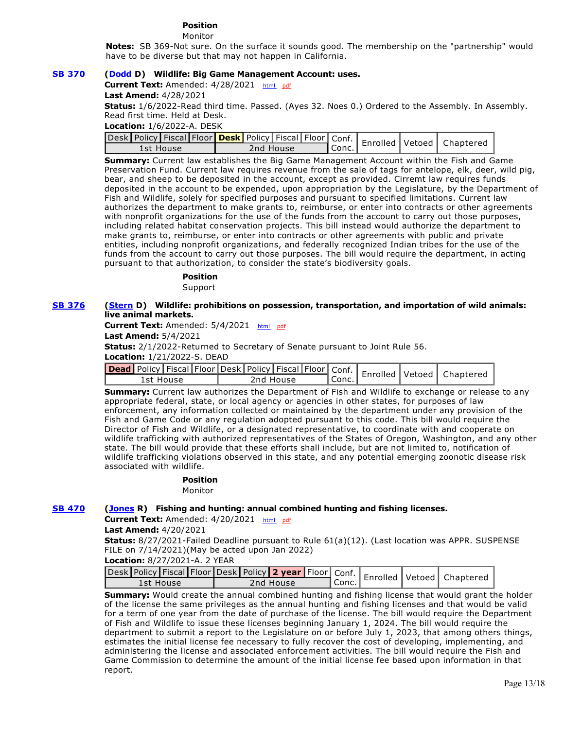## **Position**

Monitor

**Notes:** SB 369-Not sure. On the surface it sounds good. The membership on the "partnership" would have to be diverse but that may not happen in California.

### **[SB 370](https://ctweb.capitoltrack.com/public/publishbillinfo.aspx?bi=Sorqmo0wwVJZ8oUkF4aT9TW01WZNR4jAULhvo1kHc60CMXRaklkkMvp6aKVB%2BryZ) [\(Dodd](http://sd03.senate.ca.gov/) D) Wildlife: Big Game Management Account: uses.**

**Current Text:** Amended: 4/28/2021 [html](http://ct3k1.capitoltrack.com/Bills/21Bills%5Csen%5Csb_0351-0400%5Csb_370_98_A_bill.htm)  [pdf](http://ct3k1.capitoltrack.com/Bills/21Bills%5Csen%5Csb_0351-0400%5Csb_370_98_A_bill.pdf)

**Last Amend:** 4/28/2021

**Status:** 1/6/2022-Read third time. Passed. (Ayes 32. Noes 0.) Ordered to the Assembly. In Assembly. Read first time. Held at Desk.

#### **Location:** 1/6/2022-A. DESK

| 1st House | 2nd House |  | " Conc. . |  |  |
|-----------|-----------|--|-----------|--|--|

**Summary:** Current law establishes the Big Game Management Account within the Fish and Game Preservation Fund. Current law requires revenue from the sale of tags for antelope, elk, deer, wild pig, bear, and sheep to be deposited in the account, except as provided. Cirremt law requires funds deposited in the account to be expended, upon appropriation by the Legislature, by the Department of Fish and Wildlife, solely for specified purposes and pursuant to specified limitations. Current law authorizes the department to make grants to, reimburse, or enter into contracts or other agreements with nonprofit organizations for the use of the funds from the account to carry out those purposes, including related habitat conservation projects. This bill instead would authorize the department to make grants to, reimburse, or enter into contracts or other agreements with public and private entities, including nonprofit organizations, and federally recognized Indian tribes for the use of the funds from the account to carry out those purposes. The bill would require the department, in acting pursuant to that authorization, to consider the state's biodiversity goals.

#### **Position**

Support

#### **[SB 376](https://ctweb.capitoltrack.com/public/publishbillinfo.aspx?bi=p%2BJ8z3nUGL60a1R2nFwjLoGo%2FgUGR9DlMqAux5pBsqEsxcV96XcNIbEtbaQuqRI0) [\(Stern](http://sd27.senate.ca.gov/) D) Wildlife: prohibitions on possession, transportation, and importation of wild animals: live animal markets.**

**Current Text:** Amended: 5/4/2021 [html](http://ct3k1.capitoltrack.com/Bills/21Bills%5Csen%5Csb_0351-0400%5Csb_376_97_A_bill.htm)  [pdf](http://ct3k1.capitoltrack.com/Bills/21Bills%5Csen%5Csb_0351-0400%5Csb_376_97_A_bill.pdf)

**Last Amend:** 5/4/2021

**Status:** 2/1/2022-Returned to Secretary of Senate pursuant to Joint Rule 56.

#### **Location:** 1/21/2022-S. DEAD

|           |  |  |           |           |  | <b>Jead</b> Policy Fiscal Floor Desk Policy Fiscal Floor Conf. Enrolled Vetoed Chaptere |
|-----------|--|--|-----------|-----------|--|-----------------------------------------------------------------------------------------|
| 1st House |  |  | 2nd House | ' Conc. . |  |                                                                                         |

**Summary:** Current law authorizes the Department of Fish and Wildlife to exchange or release to any appropriate federal, state, or local agency or agencies in other states, for purposes of law enforcement, any information collected or maintained by the department under any provision of the Fish and Game Code or any regulation adopted pursuant to this code. This bill would require the Director of Fish and Wildlife, or a designated representative, to coordinate with and cooperate on wildlife trafficking with authorized representatives of the States of Oregon, Washington, and any other state. The bill would provide that these efforts shall include, but are not limited to, notification of wildlife trafficking violations observed in this state, and any potential emerging zoonotic disease risk associated with wildlife.

#### **Position**

Monitor

#### **[SB 470](https://ctweb.capitoltrack.com/public/publishbillinfo.aspx?bi=mLSyj8FelmIcYhWdQM%2Fqn%2BVgx2ePKg0K4WOrTz65DTXm2L0xMychn37js%2BpqKkBw) [\(Jones](https://jones.cssrc.us/) R) Fishing and hunting: annual combined hunting and fishing licenses.**

**Current Text:** Amended: 4/20/2021 [html](http://ct3k1.capitoltrack.com/Bills/21Bills%5Csen%5Csb_0451-0500%5Csb_470_98_A_bill.htm)  [pdf](http://ct3k1.capitoltrack.com/Bills/21Bills%5Csen%5Csb_0451-0500%5Csb_470_98_A_bill.pdf)

**Last Amend:** 4/20/2021

**Status:** 8/27/2021-Failed Deadline pursuant to Rule 61(a)(12). (Last location was APPR. SUSPENSE FILE on 7/14/2021)(May be acted upon Jan 2022)

**Location:** 8/27/2021-A. 2 YEAR

| Jesk Policy   Fiscal   Floor   Desk   Policy   2 year   Floor   Conf.   Enrolled   Vetoed   Chaptere |  |           |         |  |  |
|------------------------------------------------------------------------------------------------------|--|-----------|---------|--|--|
| 1st House                                                                                            |  | 2nd House | ¶Conc.⊥ |  |  |

**Summary:** Would create the annual combined hunting and fishing license that would grant the holder of the license the same privileges as the annual hunting and fishing licenses and that would be valid for a term of one year from the date of purchase of the license. The bill would require the Department of Fish and Wildlife to issue these licenses beginning January 1, 2024. The bill would require the department to submit a report to the Legislature on or before July 1, 2023, that among others things, estimates the initial license fee necessary to fully recover the cost of developing, implementing, and administering the license and associated enforcement activities. The bill would require the Fish and Game Commission to determine the amount of the initial license fee based upon information in that report.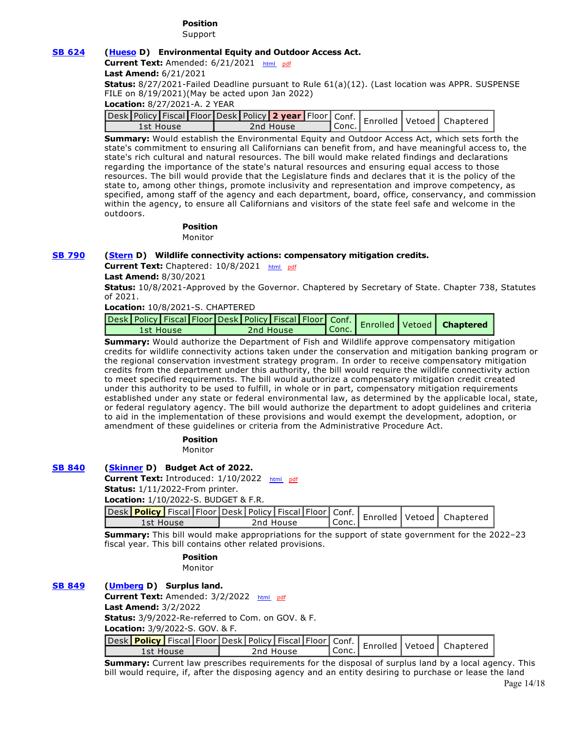## **Position**

Support

### **[SB 624](https://ctweb.capitoltrack.com/public/publishbillinfo.aspx?bi=n9zlg9TAeominQ0EVBWliNUpBwyLuCwqdVRKXK9dX1JsWo%2BM49eRKjeQwuYIJCku) [\(Hueso](http://sd40.senate.ca.gov/) D) Environmental Equity and Outdoor Access Act.**

**Current Text:** Amended: 6/21/2021 [html](http://ct3k1.capitoltrack.com/Bills/21Bills%5Csen%5Csb_0601-0650%5Csb_624_96_A_bill.htm)  [pdf](http://ct3k1.capitoltrack.com/Bills/21Bills%5Csen%5Csb_0601-0650%5Csb_624_96_A_bill.pdf)

**Last Amend:** 6/21/2021

**Status:** 8/27/2021-Failed Deadline pursuant to Rule 61(a)(12). (Last location was APPR. SUSPENSE FILE on 8/19/2021)(May be acted upon Jan 2022)

**Location:** 8/27/2021-A. 2 YEAR

| vesk Policy Fiscal Floor Desk Policy 2 year Floor Conf.   Enrolled Vetoed   Chaptere |           |         |  |  |
|--------------------------------------------------------------------------------------|-----------|---------|--|--|
| 1st House                                                                            | 2nd House | l Conc. |  |  |

**Summary:** Would establish the Environmental Equity and Outdoor Access Act, which sets forth the state's commitment to ensuring all Californians can benefit from, and have meaningful access to, the state's rich cultural and natural resources. The bill would make related findings and declarations regarding the importance of the state's natural resources and ensuring equal access to those resources. The bill would provide that the Legislature finds and declares that it is the policy of the state to, among other things, promote inclusivity and representation and improve competency, as specified, among staff of the agency and each department, board, office, conservancy, and commission within the agency, to ensure all Californians and visitors of the state feel safe and welcome in the outdoors.

# **Position**

Monitor

## **[SB 790](https://ctweb.capitoltrack.com/public/publishbillinfo.aspx?bi=94HCTz4xPTI9U1nTtJCprUCfqvNqJMW5fT1qhrG%2BU%2BTXk9jQi2tiv5%2FCZOfBUFMe) [\(Stern](http://sd27.senate.ca.gov/) D) Wildlife connectivity actions: compensatory mitigation credits.**

**Current Text:** Chaptered: 10/8/2021 [html](http://ct3k1.capitoltrack.com/Bills/21Bills%5Csen%5Csb_0751-0800%5Csb_790_92_C_bill.htm) [pdf](http://ct3k1.capitoltrack.com/Bills/21Bills%5Csen%5Csb_0751-0800%5Csb_790_92_C_bill.pdf)

**Last Amend:** 8/30/2021

**Status:** 10/8/2021-Approved by the Governor. Chaptered by Secretary of State. Chapter 738, Statutes of 2021.

**Location:** 10/8/2021-S. CHAPTERED

|  |           |  |           |           |  | Sesk Policy Fiscal Floor Desk Policy Fiscal Floor Conf. Enrolled Vetoed <b>Chaptere</b> |
|--|-----------|--|-----------|-----------|--|-----------------------------------------------------------------------------------------|
|  | 1st House |  | 2nd House | $ $ Conc. |  |                                                                                         |

**Summary:** Would authorize the Department of Fish and Wildlife approve compensatory mitigation credits for wildlife connectivity actions taken under the conservation and mitigation banking program or the regional conservation investment strategy program. In order to receive compensatory mitigation credits from the department under this authority, the bill would require the wildlife connectivity action to meet specified requirements. The bill would authorize a compensatory mitigation credit created under this authority to be used to fulfill, in whole or in part, compensatory mitigation requirements established under any state or federal environmental law, as determined by the applicable local, state, or federal regulatory agency. The bill would authorize the department to adopt guidelines and criteria to aid in the implementation of these provisions and would exempt the development, adoption, or amendment of these guidelines or criteria from the Administrative Procedure Act.

> **Position**  Monitor

## **[SB 840](https://ctweb.capitoltrack.com/public/publishbillinfo.aspx?bi=iBe9XzsX9jcTKrG8U0CnRUGnO4B0xWBIAzd%2BaiSTK%2FixvA0CeTxLZJBJADAUXjmN) [\(Skinner](http://sd09.senate.ca.gov/) D) Budget Act of 2022.**

**Current Text:** Introduced: 1/10/2022 [html](http://ct3k1.capitoltrack.com/Bills/21Bills%5Csen%5Csb_0801-0850%5Csb_840_99_I_bill.htm) [pdf](http://ct3k1.capitoltrack.com/Bills/21Bills%5Csen%5Csb_0801-0850%5Csb_840_99_I_bill.pdf) **Status:** 1/11/2022-From printer.

**Location:** 1/10/2022-S. BUDGET & F.R.

| LUCALIUII. 1/10/2022-3. DODOLT & F.N. |           |  |  |           |         |  |                                                                                       |
|---------------------------------------|-----------|--|--|-----------|---------|--|---------------------------------------------------------------------------------------|
|                                       |           |  |  |           |         |  | Jesk Policy Fiscal Floor Desk Policy Fiscal Floor Conf.   Enrolled Vetoed   Chaptered |
|                                       | 1st House |  |  | 2nd House | ' Conc. |  |                                                                                       |

**Summary:** This bill would make appropriations for the support of state government for the 2022–23 fiscal year. This bill contains other related provisions.

> **Position**  Monitor

## **[SB 849](https://ctweb.capitoltrack.com/public/publishbillinfo.aspx?bi=5mzMJqRlD5x4fYluIqzIAsCb6oOEhnoegZaIFQzTRlJrKc0V35an%2BEDhgBD9gf09) [\(Umberg](https://sd34.senate.ca.gov/) D) Surplus land.**

Current Text: Amended: 3/2/2022 [html](http://ct3k1.capitoltrack.com/Bills/21Bills%5Csen%5Csb_0801-0850%5Csb_849_98_A_bill.htm) [pdf](http://ct3k1.capitoltrack.com/Bills/21Bills%5Csen%5Csb_0801-0850%5Csb_849_98_A_bill.pdf) **Last Amend:** 3/2/2022 **Status:** 3/9/2022-Re-referred to Com. on GOV. & F.

**Location:** 3/9/2022-S. GOV. & F.

|           | " - esk <mark>  Policy  </mark> Fiscal   Floor   Desk   Policy   Fiscal   Floor   Conf.   Enrolled   Vetoed   Chaptere |                                 |  |  |
|-----------|------------------------------------------------------------------------------------------------------------------------|---------------------------------|--|--|
| 1st House | 2nd House                                                                                                              | <sup>'</sup> Conc. <sub>1</sub> |  |  |
|           |                                                                                                                        |                                 |  |  |

**Summary:** Current law prescribes requirements for the disposal of surplus land by a local agency. This bill would require, if, after the disposing agency and an entity desiring to purchase or lease the land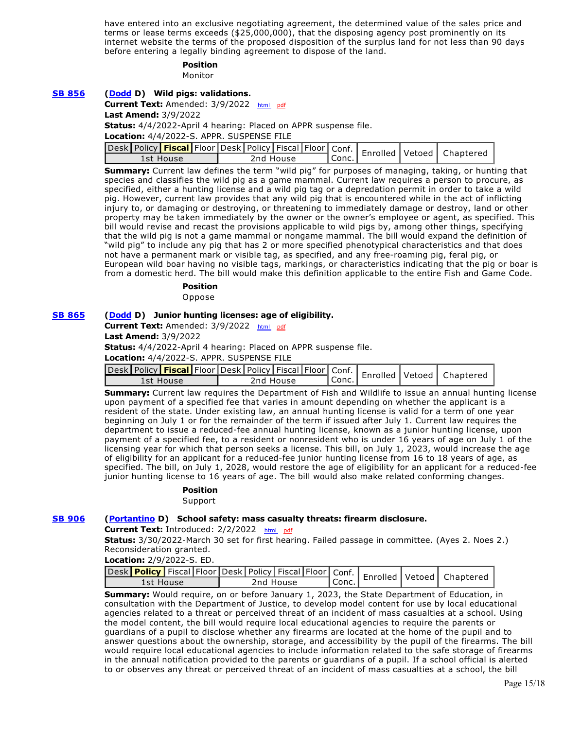have entered into an exclusive negotiating agreement, the determined value of the sales price and terms or lease terms exceeds (\$25,000,000), that the disposing agency post prominently on its internet website the terms of the proposed disposition of the surplus land for not less than 90 days before entering a legally binding agreement to dispose of the land.

#### **Position**

Monitor

# **[SB 856](https://ctweb.capitoltrack.com/public/publishbillinfo.aspx?bi=Z1%2BwW2oKbQS8nwFQC%2FT%2BFbHnkEdnXENvIL2csKjJrmf4hgVwf5pq%2BWvou9drdHm6) [\(Dodd](http://sd03.senate.ca.gov/) D) Wild pigs: validations.** Current Text: Amended: 3/9/2022 [html](http://ct3k1.capitoltrack.com/Bills/21Bills%5Csen%5Csb_0851-0900%5Csb_856_98_A_bill.htm) [pdf](http://ct3k1.capitoltrack.com/Bills/21Bills%5Csen%5Csb_0851-0900%5Csb_856_98_A_bill.pdf) **Last Amend:** 3/9/2022 **Status:** 4/4/2022-April 4 hearing: Placed on APPR suspense file. **Location:** 4/4/2022-S. APPR. SUSPENSE FILE **Desk** Policy **Fiscal** Floor Desk Policy Fiscal Floor Conf.<br>1st House 2nd House Conc. **Conc.** Enrolled Vetoed Chaptered 1st House 2nd House Conc. Enrolled Vetoed Chaptered **Summary:** Current law defines the term "wild pig" for purposes of managing, taking, or hunting that species and classifies the wild pig as a game mammal. Current law requires a person to procure, as

specified, either a hunting license and a wild pig tag or a depredation permit in order to take a wild pig. However, current law provides that any wild pig that is encountered while in the act of inflicting injury to, or damaging or destroying, or threatening to immediately damage or destroy, land or other property may be taken immediately by the owner or the owner's employee or agent, as specified. This bill would revise and recast the provisions applicable to wild pigs by, among other things, specifying that the wild pig is not a game mammal or nongame mammal. The bill would expand the definition of "wild pig" to include any pig that has 2 or more specified phenotypical characteristics and that does not have a permanent mark or visible tag, as specified, and any free-roaming pig, feral pig, or European wild boar having no visible tags, markings, or characteristics indicating that the pig or boar is from a domestic herd. The bill would make this definition applicable to the entire Fish and Game Code.

## **Position**

Oppose

#### **[SB 865](https://ctweb.capitoltrack.com/public/publishbillinfo.aspx?bi=WNThka4QxJ%2BfxLJaKVM6e2OCPwCEq%2BXBekCXLth58L2ZWa2sxahbx60ZJetOpODu) [\(Dodd](http://sd03.senate.ca.gov/) D) Junior hunting licenses: age of eligibility.**

**Current Text:** Amended: 3/9/2022 [html](http://ct3k1.capitoltrack.com/Bills/21Bills%5Csen%5Csb_0851-0900%5Csb_865_98_A_bill.htm)  [pdf](http://ct3k1.capitoltrack.com/Bills/21Bills%5Csen%5Csb_0851-0900%5Csb_865_98_A_bill.pdf) **Last Amend:** 3/9/2022

**Status:** 4/4/2022-April 4 hearing: Placed on APPR suspense file.

**Location:** 4/4/2022-S. APPR. SUSPENSE FILE

| Jesk Policy <b>Fiscal</b> Floor Desk Policy   Fiscal   Floor   Conf.   Enrolled   Vetoed   Chaptered |           |        |  |  |
|------------------------------------------------------------------------------------------------------|-----------|--------|--|--|
| : House                                                                                              | 2nd House | `Conc. |  |  |

**Summary:** Current law requires the Department of Fish and Wildlife to issue an annual hunting license upon payment of a specified fee that varies in amount depending on whether the applicant is a resident of the state. Under existing law, an annual hunting license is valid for a term of one year beginning on July 1 or for the remainder of the term if issued after July 1. Current law requires the department to issue a reduced-fee annual hunting license, known as a junior hunting license, upon payment of a specified fee, to a resident or nonresident who is under 16 years of age on July 1 of the licensing year for which that person seeks a license. This bill, on July 1, 2023, would increase the age of eligibility for an applicant for a reduced-fee junior hunting license from 16 to 18 years of age, as specified. The bill, on July 1, 2028, would restore the age of eligibility for an applicant for a reduced-fee junior hunting license to 16 years of age. The bill would also make related conforming changes.

#### **Position**

Support

#### **[SB 906](https://ctweb.capitoltrack.com/public/publishbillinfo.aspx?bi=RzZv6gAcq4UusV6Rvu0E3lTkOciQQQhYwSEIORr4D8PlrUCbyYzUUpBkT3VZSeJt) [\(Portantino](http://sd25.senate.ca.gov/) D) School safety: mass casualty threats: firearm disclosure.**

**Current Text:** Introduced: 2/2/2022 [html](http://ct3k1.capitoltrack.com/Bills/21Bills%5Csen%5Csb_0901-0950%5Csb_906_99_I_bill.htm)  [pdf](http://ct3k1.capitoltrack.com/Bills/21Bills%5Csen%5Csb_0901-0950%5Csb_906_99_I_bill.pdf)

**Status:** 3/30/2022-March 30 set for first hearing. Failed passage in committee. (Ayes 2. Noes 2.) Reconsideration granted.

**Location:** 2/9/2022-S. ED.

| sesk Policy Fiscal Floor Desk   Policy   Fiscal   Floor   Conf.   Enrolled   Vetoed   Chaptereriche |  |           |           |  |  |
|-----------------------------------------------------------------------------------------------------|--|-----------|-----------|--|--|
| 1st House                                                                                           |  | 2nd House | ' Conc. ⊾ |  |  |

**Summary:** Would require, on or before January 1, 2023, the State Department of Education, in consultation with the Department of Justice, to develop model content for use by local educational agencies related to a threat or perceived threat of an incident of mass casualties at a school. Using the model content, the bill would require local educational agencies to require the parents or guardians of a pupil to disclose whether any firearms are located at the home of the pupil and to answer questions about the ownership, storage, and accessibility by the pupil of the firearms. The bill would require local educational agencies to include information related to the safe storage of firearms in the annual notification provided to the parents or guardians of a pupil. If a school official is alerted to or observes any threat or perceived threat of an incident of mass casualties at a school, the bill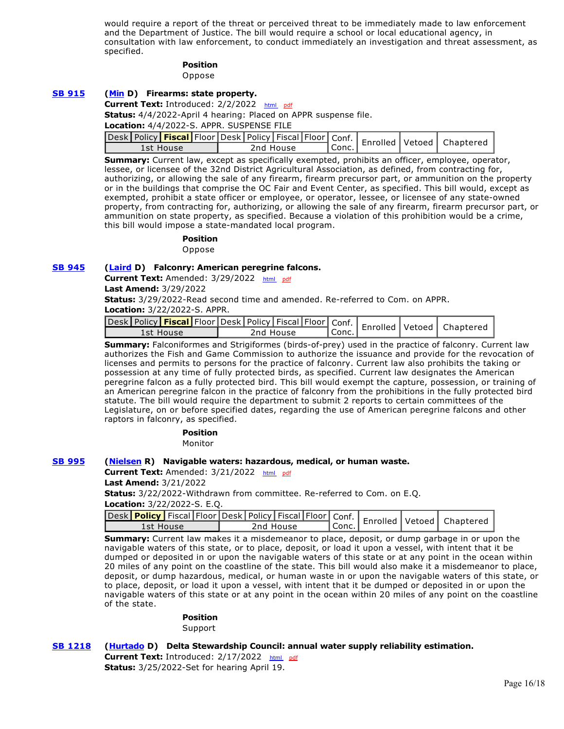would require a report of the threat or perceived threat to be immediately made to law enforcement and the Department of Justice. The bill would require a school or local educational agency, in consultation with law enforcement, to conduct immediately an investigation and threat assessment, as specified.

#### **Position**

Oppose

### **[SB 915](https://ctweb.capitoltrack.com/public/publishbillinfo.aspx?bi=cjrL4U14SwJM7g6m%2B98SPAeQTxwc%2FFthGYetHXdagWNL15S8fTGzh9P0d5aMp%2BFy) [\(Min](https://sd37.senate.ca.gov/) D) Firearms: state property.**

#### **Current Text:** Introduced: 2/2/2022 [html](http://ct3k1.capitoltrack.com/Bills/21Bills%5Csen%5Csb_0901-0950%5Csb_915_99_I_bill.htm)  [pdf](http://ct3k1.capitoltrack.com/Bills/21Bills%5Csen%5Csb_0901-0950%5Csb_915_99_I_bill.pdf)

**Status:** 4/4/2022-April 4 hearing: Placed on APPR suspense file.

**Location:** 4/4/2022-S. APPR. SUSPENSE FILE

| Jesk Policy <b>Fiscal Floor Desk Policy Fiscal Floor</b> Conf.   Enrolled Vetoed   Chapterer |  |           |         |  |  |
|----------------------------------------------------------------------------------------------|--|-----------|---------|--|--|
| 1st House                                                                                    |  | 2nd House | ' Conc. |  |  |

**Summary:** Current law, except as specifically exempted, prohibits an officer, employee, operator, lessee, or licensee of the 32nd District Agricultural Association, as defined, from contracting for, authorizing, or allowing the sale of any firearm, firearm precursor part, or ammunition on the property or in the buildings that comprise the OC Fair and Event Center, as specified. This bill would, except as exempted, prohibit a state officer or employee, or operator, lessee, or licensee of any state-owned property, from contracting for, authorizing, or allowing the sale of any firearm, firearm precursor part, or ammunition on state property, as specified. Because a violation of this prohibition would be a crime, this bill would impose a state-mandated local program.

**Position** 

Oppose

#### **[SB 945](https://ctweb.capitoltrack.com/public/publishbillinfo.aspx?bi=HSzRrM1tsEj%2FzHEHFZoq26RrtBe%2BiUZhNaZAb6MANVuUxzHWemhES443cVrKB7xi) [\(Laird](http://sd17.senate.ca.gov/) D) Falconry: American peregrine falcons.**

Current Text: Amended: 3/29/2022 [html](http://ct3k1.capitoltrack.com/Bills/21Bills%5Csen%5Csb_0901-0950%5Csb_945_97_A_bill.htm) [pdf](http://ct3k1.capitoltrack.com/Bills/21Bills%5Csen%5Csb_0901-0950%5Csb_945_97_A_bill.pdf)

**Last Amend:** 3/29/2022

**Status:** 3/29/2022-Read second time and amended. Re-referred to Com. on APPR. **Location:** 3/22/2022-S. APPR.

| 1st House | 2nd House | l Conc. |  |  |
|-----------|-----------|---------|--|--|

**Summary:** Falconiformes and Strigiformes (birds-of-prey) used in the practice of falconry. Current law authorizes the Fish and Game Commission to authorize the issuance and provide for the revocation of licenses and permits to persons for the practice of falconry. Current law also prohibits the taking or possession at any time of fully protected birds, as specified. Current law designates the American peregrine falcon as a fully protected bird. This bill would exempt the capture, possession, or training of an American peregrine falcon in the practice of falconry from the prohibitions in the fully protected bird statute. The bill would require the department to submit 2 reports to certain committees of the Legislature, on or before specified dates, regarding the use of American peregrine falcons and other raptors in falconry, as specified.

**Position** 

Monitor

#### **[SB 995](https://ctweb.capitoltrack.com/public/publishbillinfo.aspx?bi=CNcp8SWKIs%2BkiZU%2Fn8E%2F4wIvZjgUxDAxw6qe0IddE2vwrZd%2BOCeuofHp38heW9zI) [\(Nielsen](http://nielsen.cssrc.us/) R) Navigable waters: hazardous, medical, or human waste.**

Current Text: Amended: 3/21/2022 [html](http://ct3k1.capitoltrack.com/Bills/21Bills%5Csen%5Csb_0951-1000%5Csb_995_98_A_bill.htm) [pdf](http://ct3k1.capitoltrack.com/Bills/21Bills%5Csen%5Csb_0951-1000%5Csb_995_98_A_bill.pdf)

**Last Amend:** 3/21/2022

**Status:** 3/22/2022-Withdrawn from committee. Re-referred to Com. on E.Q. **Location:** 3/22/2022-S. E.Q.

| 1st House | 2nd House | ' Conc. |  |  |
|-----------|-----------|---------|--|--|

**Summary:** Current law makes it a misdemeanor to place, deposit, or dump garbage in or upon the navigable waters of this state, or to place, deposit, or load it upon a vessel, with intent that it be dumped or deposited in or upon the navigable waters of this state or at any point in the ocean within 20 miles of any point on the coastline of the state. This bill would also make it a misdemeanor to place, deposit, or dump hazardous, medical, or human waste in or upon the navigable waters of this state, or to place, deposit, or load it upon a vessel, with intent that it be dumped or deposited in or upon the navigable waters of this state or at any point in the ocean within 20 miles of any point on the coastline of the state.

#### **Position**

Support

## **[SB 1218](https://ctweb.capitoltrack.com/public/publishbillinfo.aspx?bi=wH%2FXw7W7%2FkHTmtbh%2FF6zd4GUObe1oWxjOQO7fcAt%2FV08ISy6MhHea9xo%2F3wqIsgd) [\(Hurtado](https://sd14.senate.ca.gov/) D) Delta Stewardship Council: annual water supply reliability estimation.**

**Current Text:** Introduced: 2/17/2022 [html](http://ct3k1.capitoltrack.com/Bills/21Bills%5Csen%5Csb_1201-1250%5Csb_1218_99_I_bill.htm) [pdf](http://ct3k1.capitoltrack.com/Bills/21Bills%5Csen%5Csb_1201-1250%5Csb_1218_99_I_bill.pdf) **Status:** 3/25/2022-Set for hearing April 19.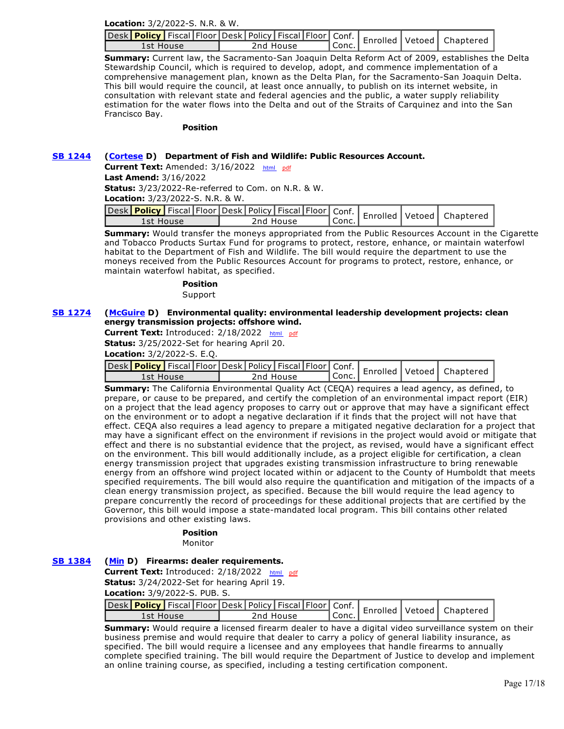**Location:** 3/2/2022-S. N.R. & W.

| - Jesk Policy   Fiscal   Floor   Desk   Policy   Fiscal   Floor   Conf.   Enrolled   Vetoed   Chaptered المصدر |           |       |  |  |
|----------------------------------------------------------------------------------------------------------------|-----------|-------|--|--|
| 1st House                                                                                                      | 2nd House | Conc. |  |  |

**Summary:** Current law, the Sacramento-San Joaquin Delta Reform Act of 2009, establishes the Delta Stewardship Council, which is required to develop, adopt, and commence implementation of a comprehensive management plan, known as the Delta Plan, for the Sacramento-San Joaquin Delta. This bill would require the council, at least once annually, to publish on its internet website, in consultation with relevant state and federal agencies and the public, a water supply reliability estimation for the water flows into the Delta and out of the Straits of Carquinez and into the San Francisco Bay.

#### **Position**

### **[SB 1244](https://ctweb.capitoltrack.com/public/publishbillinfo.aspx?bi=rjp4QcwSmqnr%2FqwrkRb%2BBG%2B%2FWS%2FJf8RnzSMI0cGM2CbZxogSgCDxjx13vP4me%2Fnp) [\(Cortese](http://sd15.senate.ca.gov/) D) Department of Fish and Wildlife: Public Resources Account.**

Current Text: Amended: 3/16/2022 [html](http://ct3k1.capitoltrack.com/Bills/21Bills%5Csen%5Csb_1201-1250%5Csb_1244_98_A_bill.htm) [pdf](http://ct3k1.capitoltrack.com/Bills/21Bills%5Csen%5Csb_1201-1250%5Csb_1244_98_A_bill.pdf)

**Last Amend:** 3/16/2022

**Status:** 3/23/2022-Re-referred to Com. on N.R. & W.

**Location:** 3/23/2022-S. N.R. & W.

|           |  |  |           |                    |  | Jesk Policy Fiscal Floor Desk   Policy   Fiscal   Floor   Conf.   Enrolled   Vetoed   Chaptered |
|-----------|--|--|-----------|--------------------|--|-------------------------------------------------------------------------------------------------|
| 1st House |  |  | 2nd House | <sup>1</sup> Conc. |  |                                                                                                 |

**Summary:** Would transfer the moneys appropriated from the Public Resources Account in the Cigarette and Tobacco Products Surtax Fund for programs to protect, restore, enhance, or maintain waterfowl habitat to the Department of Fish and Wildlife. The bill would require the department to use the moneys received from the Public Resources Account for programs to protect, restore, enhance, or maintain waterfowl habitat, as specified.

**Position** 

## Support

#### **[SB 1274](https://ctweb.capitoltrack.com/public/publishbillinfo.aspx?bi=ZddaK%2FWEmXTd2ROrUhnQyTYdTuCi%2B%2B43T31RsRawleJhJds%2FgTCbxb5Ando1WNnB) [\(McGuire](http://sd02.senate.ca.gov/) D) Environmental quality: environmental leadership development projects: clean energy transmission projects: offshore wind.**

**Current Text:** Introduced: 2/18/2022 [html](http://ct3k1.capitoltrack.com/Bills/21Bills%5Csen%5Csb_1251-1300%5Csb_1274_99_I_bill.htm)  [pdf](http://ct3k1.capitoltrack.com/Bills/21Bills%5Csen%5Csb_1251-1300%5Csb_1274_99_I_bill.pdf) **Status:** 3/25/2022-Set for hearing April 20. **Location:** 3/2/2022-S. E.Q.

|           |  |  |           |         |  | vesk Policy   Fiscal   Floor Desk   Policy   Fiscal   Floor   Conf.   Enrolled   Vetoed   Chapterer |
|-----------|--|--|-----------|---------|--|-----------------------------------------------------------------------------------------------------|
| 1st House |  |  | 2nd House | ' Conc. |  |                                                                                                     |

**Summary:** The California Environmental Quality Act (CEQA) requires a lead agency, as defined, to prepare, or cause to be prepared, and certify the completion of an environmental impact report (EIR) on a project that the lead agency proposes to carry out or approve that may have a significant effect on the environment or to adopt a negative declaration if it finds that the project will not have that effect. CEQA also requires a lead agency to prepare a mitigated negative declaration for a project that may have a significant effect on the environment if revisions in the project would avoid or mitigate that effect and there is no substantial evidence that the project, as revised, would have a significant effect on the environment. This bill would additionally include, as a project eligible for certification, a clean energy transmission project that upgrades existing transmission infrastructure to bring renewable energy from an offshore wind project located within or adjacent to the County of Humboldt that meets specified requirements. The bill would also require the quantification and mitigation of the impacts of a clean energy transmission project, as specified. Because the bill would require the lead agency to prepare concurrently the record of proceedings for these additional projects that are certified by the Governor, this bill would impose a state-mandated local program. This bill contains other related provisions and other existing laws.

## **Position**

Monitor

## **[SB 1384](https://ctweb.capitoltrack.com/public/publishbillinfo.aspx?bi=V%2BnygPyKY6xn%2BOYQNkDlyMMFSCp7OdJcdOWqQquEOQmkgs%2BU6Jh03kdu7MGjdfLs) [\(Min](https://sd37.senate.ca.gov/) D) Firearms: dealer requirements.**

Current Text: Introduced: 2/18/2022 [html](http://ct3k1.capitoltrack.com/Bills/21Bills%5Csen%5Csb_1351-1400%5Csb_1384_99_I_bill.htm) [pdf](http://ct3k1.capitoltrack.com/Bills/21Bills%5Csen%5Csb_1351-1400%5Csb_1384_99_I_bill.pdf)

**Status:** 3/24/2022-Set for hearing April 19.

**Location:** 3/9/2022-S. PUB. S.

| <b>Lesk Policy Fiscal Floor Desk   Policy   Fiscal   Floor   Conf.   Enrolled   Vetoed   Chapterery   Confli</b> |           |           |  |  |
|------------------------------------------------------------------------------------------------------------------|-----------|-----------|--|--|
| 1st House                                                                                                        | 2nd House | $'$ Conc. |  |  |

**Summary:** Would require a licensed firearm dealer to have a digital video surveillance system on their business premise and would require that dealer to carry a policy of general liability insurance, as specified. The bill would require a licensee and any employees that handle firearms to annually complete specified training. The bill would require the Department of Justice to develop and implement an online training course, as specified, including a testing certification component.